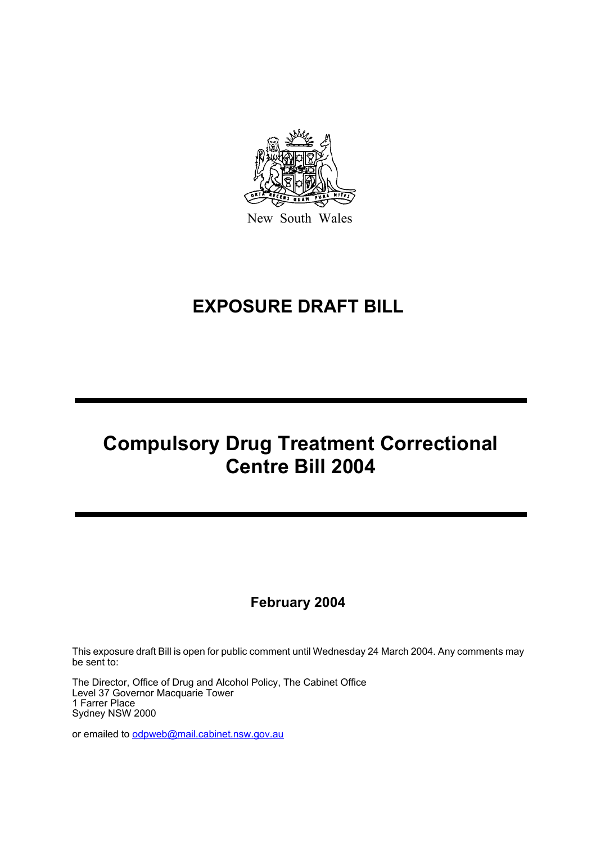

New South Wales

# **EXPOSURE DRAFT BILL**

# **Compulsory Drug Treatment Correctional Centre Bill 2004**

### **February 2004**

This exposure draft Bill is open for public comment until Wednesday 24 March 2004. Any comments may be sent to:

The Director, Office of Drug and Alcohol Policy, The Cabinet Office Level 37 Governor Macquarie Tower 1 Farrer Place Sydney NSW 2000

or emailed to odpweb@mail.cabinet.nsw.gov.au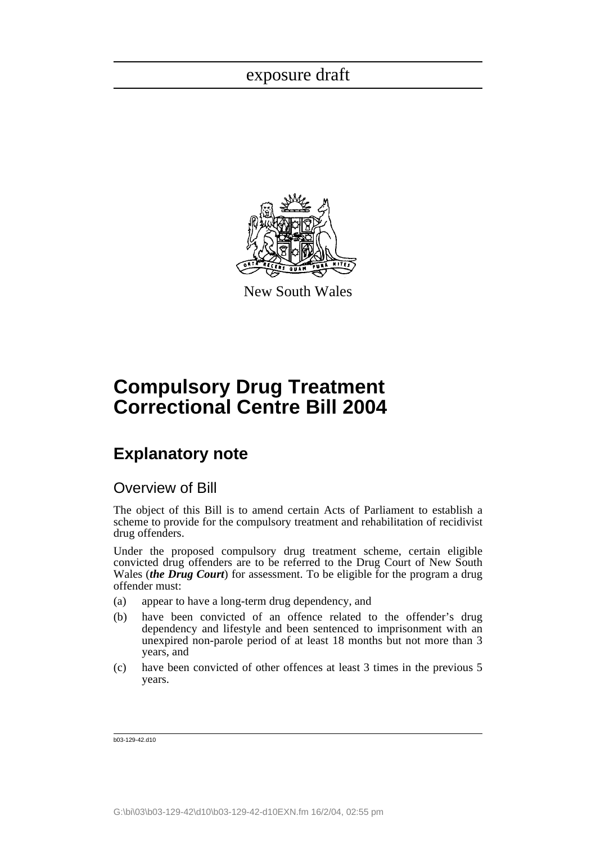

New South Wales

# **Compulsory Drug Treatment Correctional Centre Bill 2004**

## **Explanatory note**

### Overview of Bill

The object of this Bill is to amend certain Acts of Parliament to establish a scheme to provide for the compulsory treatment and rehabilitation of recidivist drug offenders.

Under the proposed compulsory drug treatment scheme, certain eligible convicted drug offenders are to be referred to the Drug Court of New South Wales (*the Drug Court*) for assessment. To be eligible for the program a drug offender must:

- (a) appear to have a long-term drug dependency, and
- (b) have been convicted of an offence related to the offender's drug dependency and lifestyle and been sentenced to imprisonment with an unexpired non-parole period of at least 18 months but not more than 3 years, and
- (c) have been convicted of other offences at least 3 times in the previous 5 years.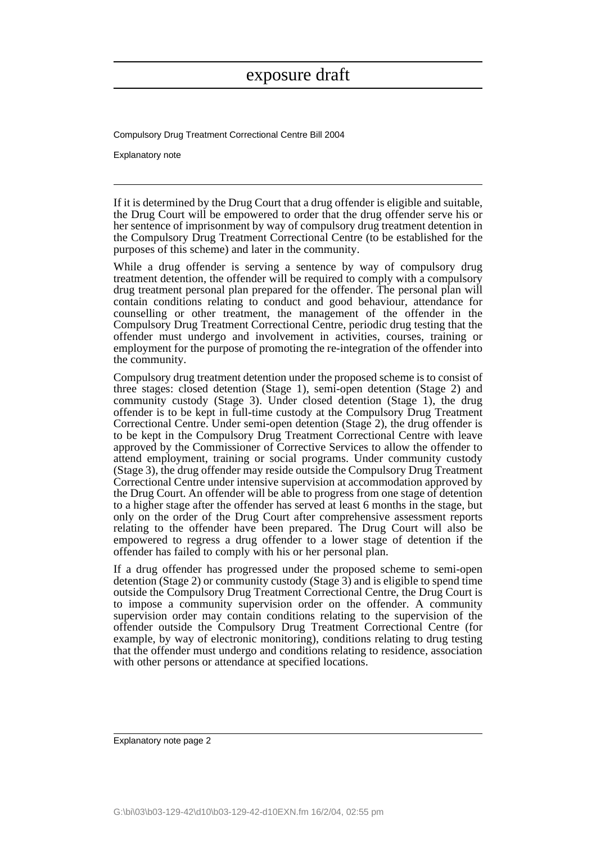Compulsory Drug Treatment Correctional Centre Bill 2004

Explanatory note

If it is determined by the Drug Court that a drug offender is eligible and suitable, the Drug Court will be empowered to order that the drug offender serve his or her sentence of imprisonment by way of compulsory drug treatment detention in the Compulsory Drug Treatment Correctional Centre (to be established for the purposes of this scheme) and later in the community.

While a drug offender is serving a sentence by way of compulsory drug treatment detention, the offender will be required to comply with a compulsory drug treatment personal plan prepared for the offender. The personal plan will contain conditions relating to conduct and good behaviour, attendance for counselling or other treatment, the management of the offender in the Compulsory Drug Treatment Correctional Centre, periodic drug testing that the offender must undergo and involvement in activities, courses, training or employment for the purpose of promoting the re-integration of the offender into the community.

Compulsory drug treatment detention under the proposed scheme is to consist of three stages: closed detention (Stage 1), semi-open detention (Stage 2) and community custody (Stage 3). Under closed detention (Stage 1), the drug offender is to be kept in full-time custody at the Compulsory Drug Treatment Correctional Centre. Under semi-open detention (Stage 2), the drug offender is to be kept in the Compulsory Drug Treatment Correctional Centre with leave approved by the Commissioner of Corrective Services to allow the offender to attend employment, training or social programs. Under community custody (Stage 3), the drug offender may reside outside the Compulsory Drug Treatment Correctional Centre under intensive supervision at accommodation approved by the Drug Court. An offender will be able to progress from one stage of detention to a higher stage after the offender has served at least 6 months in the stage, but only on the order of the Drug Court after comprehensive assessment reports relating to the offender have been prepared. The Drug Court will also be empowered to regress a drug offender to a lower stage of detention if the offender has failed to comply with his or her personal plan.

If a drug offender has progressed under the proposed scheme to semi-open detention (Stage 2) or community custody (Stage 3) and is eligible to spend time outside the Compulsory Drug Treatment Correctional Centre, the Drug Court is to impose a community supervision order on the offender. A community supervision order may contain conditions relating to the supervision of the offender outside the Compulsory Drug Treatment Correctional Centre (for example, by way of electronic monitoring), conditions relating to drug testing that the offender must undergo and conditions relating to residence, association with other persons or attendance at specified locations.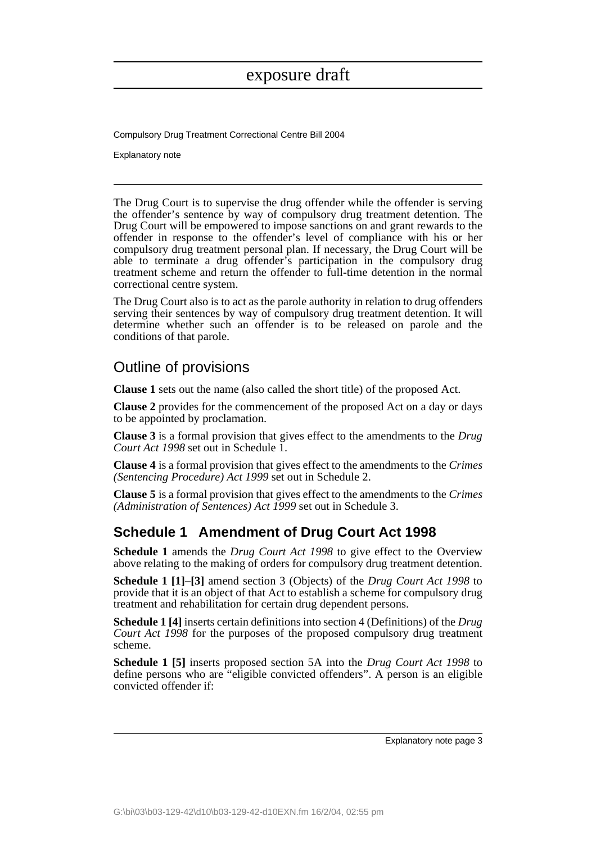Compulsory Drug Treatment Correctional Centre Bill 2004

Explanatory note

The Drug Court is to supervise the drug offender while the offender is serving the offender's sentence by way of compulsory drug treatment detention. The Drug Court will be empowered to impose sanctions on and grant rewards to the offender in response to the offender's level of compliance with his or her compulsory drug treatment personal plan. If necessary, the Drug Court will be able to terminate a drug offender's participation in the compulsory drug treatment scheme and return the offender to full-time detention in the normal correctional centre system.

The Drug Court also is to act as the parole authority in relation to drug offenders serving their sentences by way of compulsory drug treatment detention. It will determine whether such an offender is to be released on parole and the conditions of that parole.

### Outline of provisions

**Clause 1** sets out the name (also called the short title) of the proposed Act.

**Clause 2** provides for the commencement of the proposed Act on a day or days to be appointed by proclamation.

**Clause 3** is a formal provision that gives effect to the amendments to the *Drug Court Act 1998* set out in Schedule 1.

**Clause 4** is a formal provision that gives effect to the amendments to the *Crimes (Sentencing Procedure) Act 1999* set out in Schedule 2.

**Clause 5** is a formal provision that gives effect to the amendments to the *Crimes (Administration of Sentences) Act 1999* set out in Schedule 3.

### **Schedule 1 Amendment of Drug Court Act 1998**

**Schedule 1** amends the *Drug Court Act 1998* to give effect to the Overview above relating to the making of orders for compulsory drug treatment detention.

**Schedule 1 [1]–[3]** amend section 3 (Objects) of the *Drug Court Act 1998* to provide that it is an object of that Act to establish a scheme for compulsory drug treatment and rehabilitation for certain drug dependent persons.

**Schedule 1 [4]** inserts certain definitions into section 4 (Definitions) of the *Drug Court Act 1998* for the purposes of the proposed compulsory drug treatment scheme.

**Schedule 1 [5]** inserts proposed section 5A into the *Drug Court Act 1998* to define persons who are "eligible convicted offenders". A person is an eligible convicted offender if: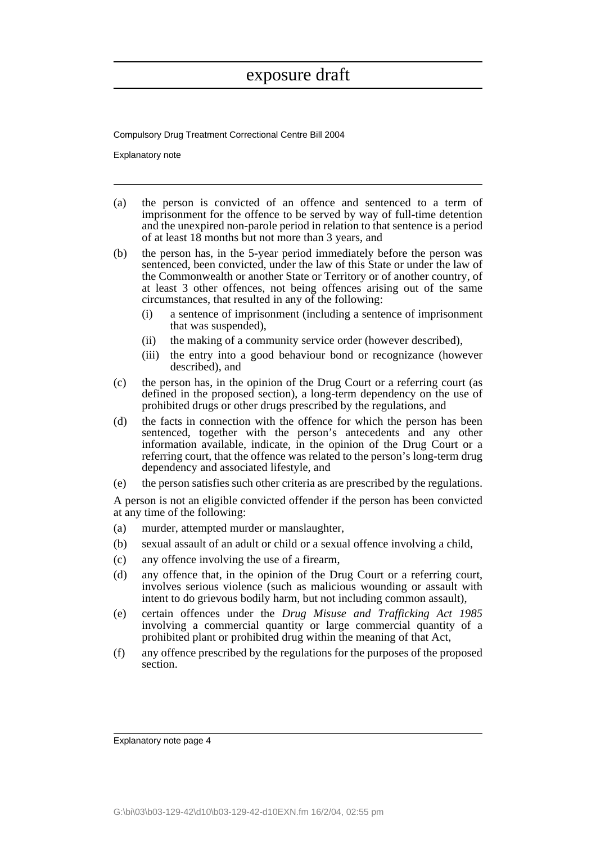Compulsory Drug Treatment Correctional Centre Bill 2004

Explanatory note

- (a) the person is convicted of an offence and sentenced to a term of imprisonment for the offence to be served by way of full-time detention and the unexpired non-parole period in relation to that sentence is a period of at least 18 months but not more than 3 years, and
- (b) the person has, in the 5-year period immediately before the person was sentenced, been convicted, under the law of this State or under the law of the Commonwealth or another State or Territory or of another country, of at least 3 other offences, not being offences arising out of the same circumstances, that resulted in any of the following:
	- (i) a sentence of imprisonment (including a sentence of imprisonment that was suspended),
	- (ii) the making of a community service order (however described),
	- (iii) the entry into a good behaviour bond or recognizance (however described), and
- (c) the person has, in the opinion of the Drug Court or a referring court (as defined in the proposed section), a long-term dependency on the use of prohibited drugs or other drugs prescribed by the regulations, and
- (d) the facts in connection with the offence for which the person has been sentenced, together with the person's antecedents and any other information available, indicate, in the opinion of the Drug Court or a referring court, that the offence was related to the person's long-term drug dependency and associated lifestyle, and
- (e) the person satisfies such other criteria as are prescribed by the regulations.

A person is not an eligible convicted offender if the person has been convicted at any time of the following:

- (a) murder, attempted murder or manslaughter,
- (b) sexual assault of an adult or child or a sexual offence involving a child,
- (c) any offence involving the use of a firearm,
- (d) any offence that, in the opinion of the Drug Court or a referring court, involves serious violence (such as malicious wounding or assault with intent to do grievous bodily harm, but not including common assault),
- (e) certain offences under the *Drug Misuse and Trafficking Act 1985* involving a commercial quantity or large commercial quantity of a prohibited plant or prohibited drug within the meaning of that Act,
- (f) any offence prescribed by the regulations for the purposes of the proposed section.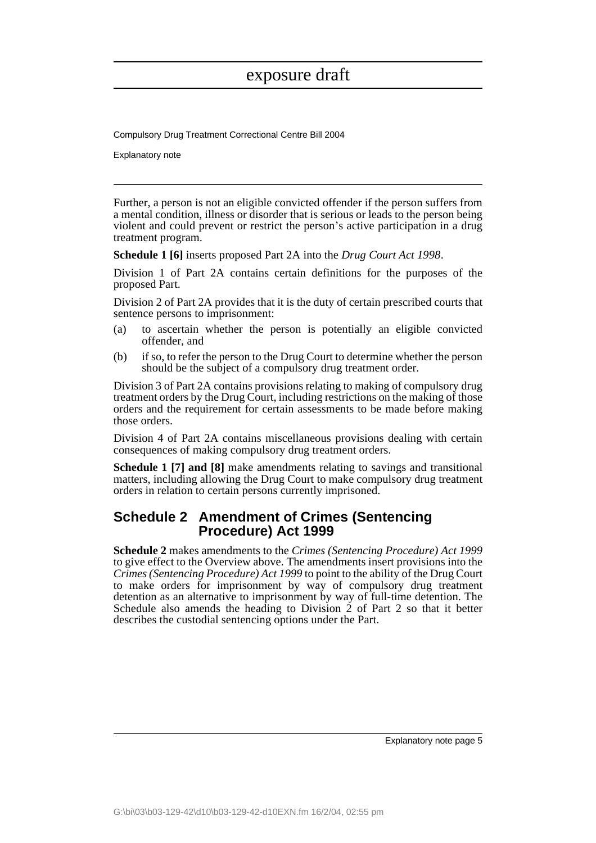Compulsory Drug Treatment Correctional Centre Bill 2004

Explanatory note

Further, a person is not an eligible convicted offender if the person suffers from a mental condition, illness or disorder that is serious or leads to the person being violent and could prevent or restrict the person's active participation in a drug treatment program.

**Schedule 1 [6]** inserts proposed Part 2A into the *Drug Court Act 1998*.

Division 1 of Part 2A contains certain definitions for the purposes of the proposed Part.

Division 2 of Part 2A provides that it is the duty of certain prescribed courts that sentence persons to imprisonment:

- (a) to ascertain whether the person is potentially an eligible convicted offender, and
- (b) if so, to refer the person to the Drug Court to determine whether the person should be the subject of a compulsory drug treatment order.

Division 3 of Part 2A contains provisions relating to making of compulsory drug treatment orders by the Drug Court, including restrictions on the making of those orders and the requirement for certain assessments to be made before making those orders.

Division 4 of Part 2A contains miscellaneous provisions dealing with certain consequences of making compulsory drug treatment orders.

**Schedule 1 [7] and [8]** make amendments relating to savings and transitional matters, including allowing the Drug Court to make compulsory drug treatment orders in relation to certain persons currently imprisoned.

### **Schedule 2 Amendment of Crimes (Sentencing Procedure) Act 1999**

**Schedule 2** makes amendments to the *Crimes (Sentencing Procedure) Act 1999* to give effect to the Overview above. The amendments insert provisions into the *Crimes (Sentencing Procedure) Act 1999* to point to the ability of the Drug Court to make orders for imprisonment by way of compulsory drug treatment detention as an alternative to imprisonment by way of full-time detention. The Schedule also amends the heading to Division  $\dot{2}$  of Part 2 so that it better describes the custodial sentencing options under the Part.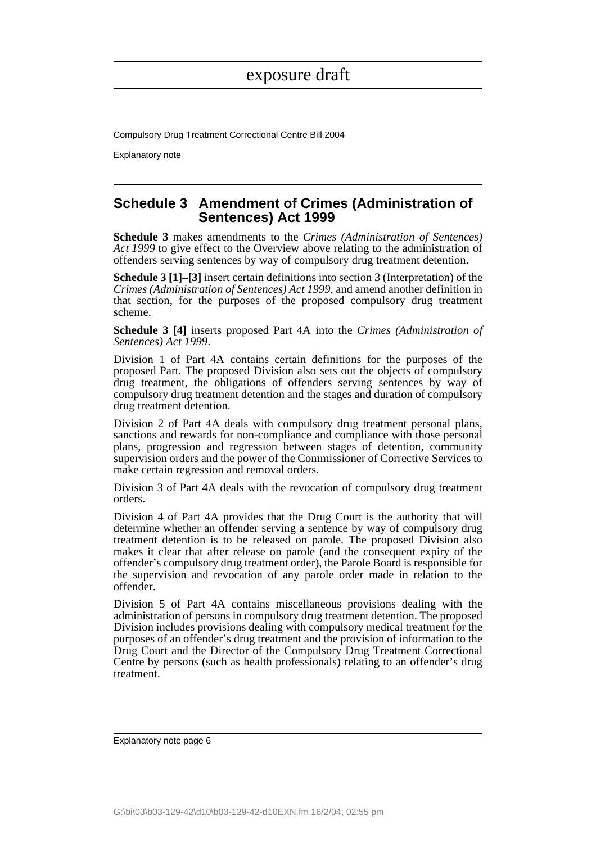Compulsory Drug Treatment Correctional Centre Bill 2004

Explanatory note

### **Schedule 3 Amendment of Crimes (Administration of Sentences) Act 1999**

**Schedule 3** makes amendments to the *Crimes (Administration of Sentences) Act 1999* to give effect to the Overview above relating to the administration of offenders serving sentences by way of compulsory drug treatment detention.

**Schedule 3 [1]–[3]** insert certain definitions into section 3 (Interpretation) of the *Crimes (Administration of Sentences) Act 1999*, and amend another definition in that section, for the purposes of the proposed compulsory drug treatment scheme.

**Schedule 3 [4]** inserts proposed Part 4A into the *Crimes (Administration of Sentences) Act 1999*.

Division 1 of Part 4A contains certain definitions for the purposes of the proposed Part. The proposed Division also sets out the objects of compulsory drug treatment, the obligations of offenders serving sentences by way of compulsory drug treatment detention and the stages and duration of compulsory drug treatment detention.

Division 2 of Part 4A deals with compulsory drug treatment personal plans, sanctions and rewards for non-compliance and compliance with those personal plans, progression and regression between stages of detention, community supervision orders and the power of the Commissioner of Corrective Services to make certain regression and removal orders.

Division 3 of Part 4A deals with the revocation of compulsory drug treatment orders.

Division 4 of Part 4A provides that the Drug Court is the authority that will determine whether an offender serving a sentence by way of compulsory drug treatment detention is to be released on parole. The proposed Division also makes it clear that after release on parole (and the consequent expiry of the offender's compulsory drug treatment order), the Parole Board is responsible for the supervision and revocation of any parole order made in relation to the offender.

Division 5 of Part 4A contains miscellaneous provisions dealing with the administration of persons in compulsory drug treatment detention. The proposed Division includes provisions dealing with compulsory medical treatment for the purposes of an offender's drug treatment and the provision of information to the Drug Court and the Director of the Compulsory Drug Treatment Correctional Centre by persons (such as health professionals) relating to an offender's drug treatment.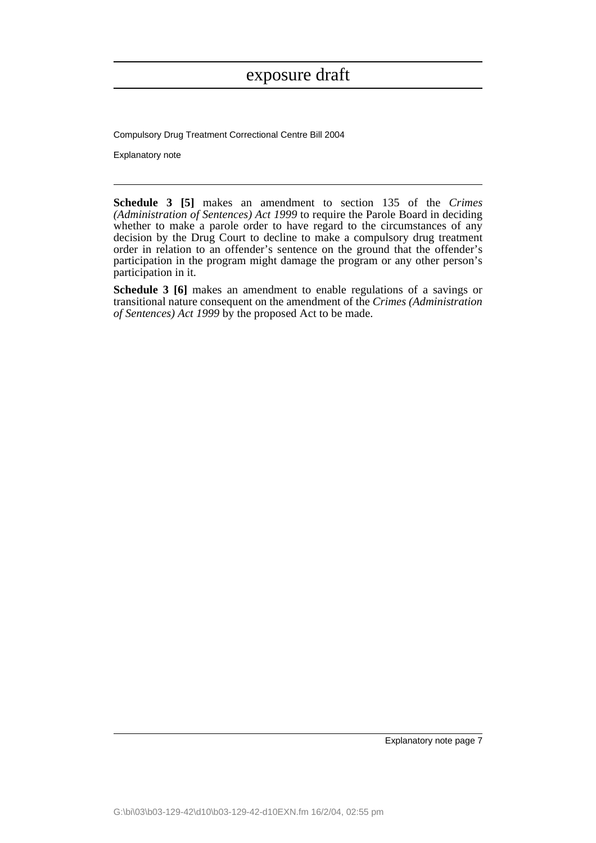Compulsory Drug Treatment Correctional Centre Bill 2004

Explanatory note

**Schedule 3 [5]** makes an amendment to section 135 of the *Crimes (Administration of Sentences) Act 1999* to require the Parole Board in deciding whether to make a parole order to have regard to the circumstances of any decision by the Drug Court to decline to make a compulsory drug treatment order in relation to an offender's sentence on the ground that the offender's participation in the program might damage the program or any other person's participation in it.

**Schedule 3 [6]** makes an amendment to enable regulations of a savings or transitional nature consequent on the amendment of the *Crimes (Administration of Sentences) Act 1999* by the proposed Act to be made.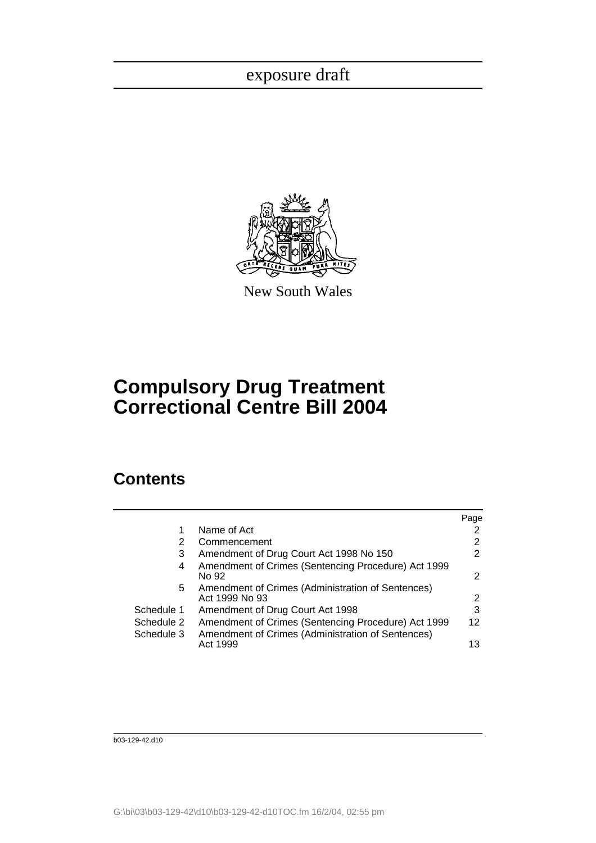

New South Wales

# **Compulsory Drug Treatment Correctional Centre Bill 2004**

## **Contents**

|            |                                                                     | Page |
|------------|---------------------------------------------------------------------|------|
|            | Name of Act                                                         |      |
| 2          | Commencement                                                        | 2    |
| 3          | Amendment of Drug Court Act 1998 No 150                             | 2    |
| 4          | Amendment of Crimes (Sentencing Procedure) Act 1999<br>No 92        | 2    |
| 5.         | Amendment of Crimes (Administration of Sentences)<br>Act 1999 No 93 | 2    |
| Schedule 1 | Amendment of Drug Court Act 1998                                    | 3    |
| Schedule 2 | Amendment of Crimes (Sentencing Procedure) Act 1999                 | 12   |
| Schedule 3 | Amendment of Crimes (Administration of Sentences)<br>Act 1999       | 13   |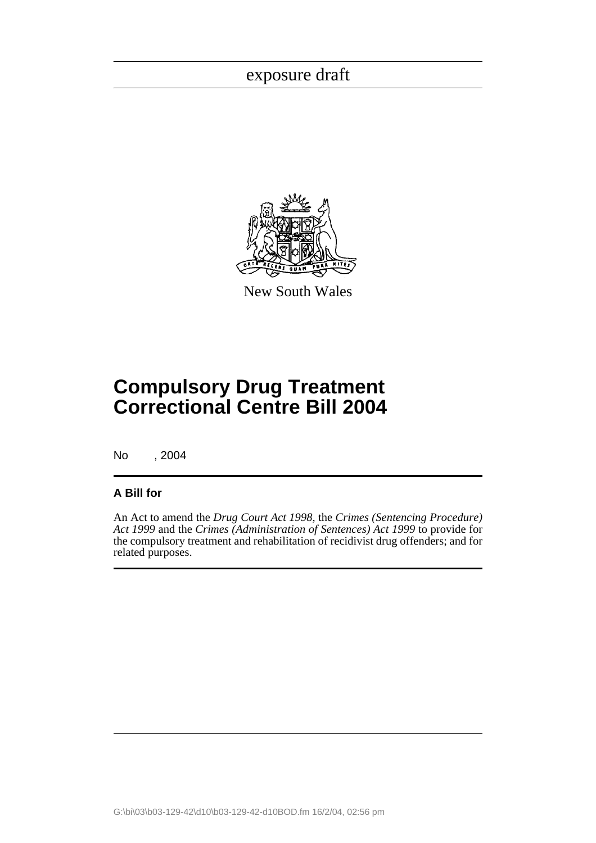

New South Wales

# **Compulsory Drug Treatment Correctional Centre Bill 2004**

No , 2004

### **A Bill for**

An Act to amend the *Drug Court Act 1998*, the *Crimes (Sentencing Procedure) Act 1999* and the *Crimes (Administration of Sentences) Act 1999* to provide for the compulsory treatment and rehabilitation of recidivist drug offenders; and for related purposes.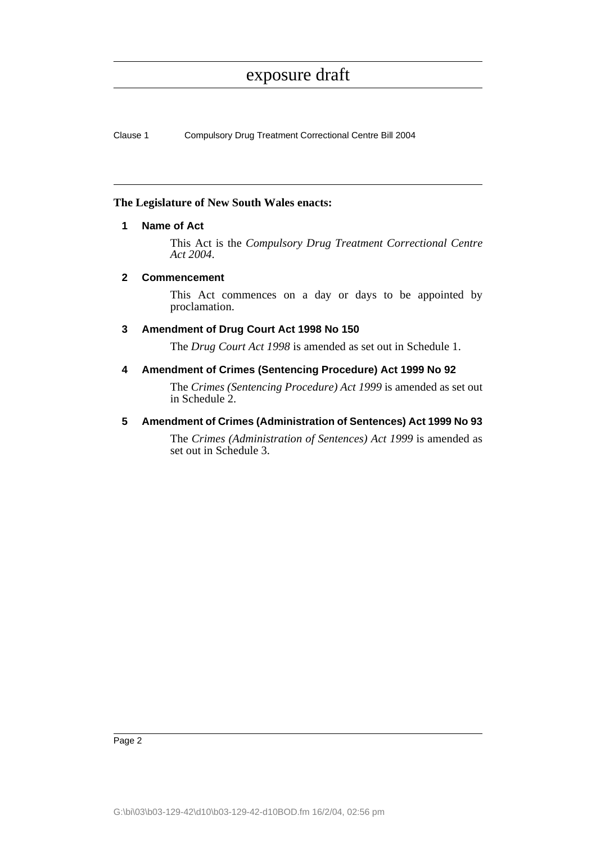Clause 1 Compulsory Drug Treatment Correctional Centre Bill 2004

### <span id="page-13-0"></span>**The Legislature of New South Wales enacts:**

### **1 Name of Act**

This Act is the *Compulsory Drug Treatment Correctional Centre Act 2004*.

### <span id="page-13-1"></span>**2 Commencement**

This Act commences on a day or days to be appointed by proclamation.

### <span id="page-13-2"></span>**3 Amendment of Drug Court Act 1998 No 150**

The *Drug Court Act 1998* is amended as set out in Schedule 1.

### <span id="page-13-3"></span>**4 Amendment of Crimes (Sentencing Procedure) Act 1999 No 92**

The *Crimes (Sentencing Procedure) Act 1999* is amended as set out in Schedule 2.

### <span id="page-13-4"></span>**5 Amendment of Crimes (Administration of Sentences) Act 1999 No 93**

The *Crimes (Administration of Sentences) Act 1999* is amended as set out in Schedule 3.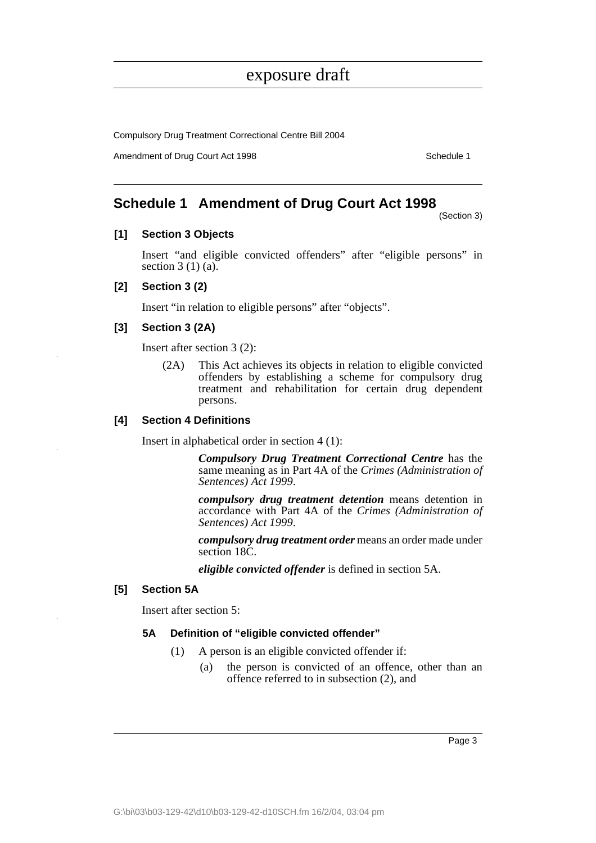Compulsory Drug Treatment Correctional Centre Bill 2004

Amendment of Drug Court Act 1998 Schedule 1

### <span id="page-14-0"></span>**Schedule 1 Amendment of Drug Court Act 1998**

(Section 3)

### **[1] Section 3 Objects**

Insert "and eligible convicted offenders" after "eligible persons" in section  $3(1)(a)$ .

### **[2] Section 3 (2)**

Insert "in relation to eligible persons" after "objects".

### **[3] Section 3 (2A)**

Insert after section 3 (2):

(2A) This Act achieves its objects in relation to eligible convicted offenders by establishing a scheme for compulsory drug treatment and rehabilitation for certain drug dependent persons.

### **[4] Section 4 Definitions**

Insert in alphabetical order in section 4 (1):

*Compulsory Drug Treatment Correctional Centre* has the same meaning as in Part 4A of the *Crimes (Administration of Sentences) Act 1999*.

*compulsory drug treatment detention* means detention in accordance with Part 4A of the *Crimes (Administration of Sentences) Act 1999*.

*compulsory drug treatment order* means an order made under section 18C.

*eligible convicted offender* is defined in section 5A.

#### **[5] Section 5A**

Insert after section 5:

#### **5A Definition of "eligible convicted offender"**

- (1) A person is an eligible convicted offender if:
	- (a) the person is convicted of an offence, other than an offence referred to in subsection (2), and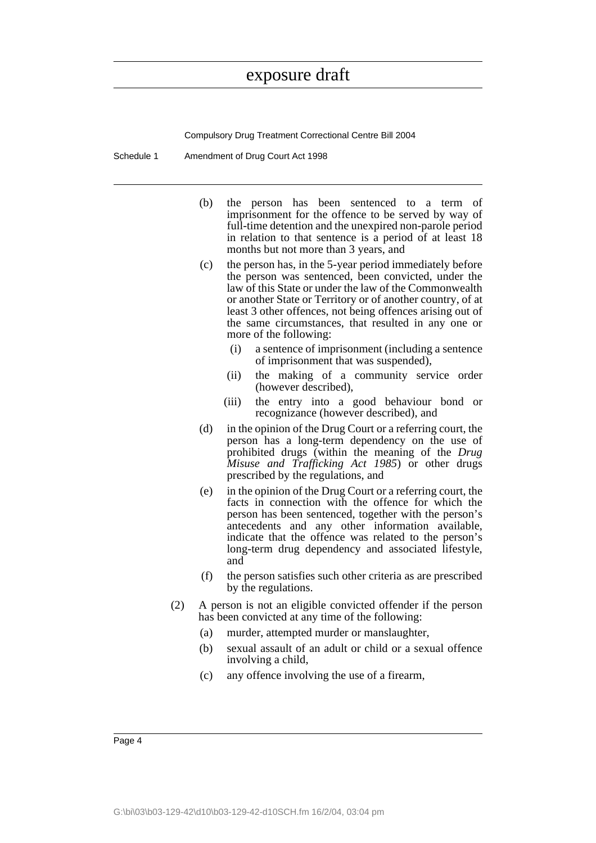Compulsory Drug Treatment Correctional Centre Bill 2004

Schedule 1 Amendment of Drug Court Act 1998

- (b) the person has been sentenced to a term of imprisonment for the offence to be served by way of full-time detention and the unexpired non-parole period in relation to that sentence is a period of at least 18 months but not more than 3 years, and
- (c) the person has, in the 5-year period immediately before the person was sentenced, been convicted, under the law of this State or under the law of the Commonwealth or another State or Territory or of another country, of at least 3 other offences, not being offences arising out of the same circumstances, that resulted in any one or more of the following:
	- (i) a sentence of imprisonment (including a sentence of imprisonment that was suspended),
	- (ii) the making of a community service order (however described),
	- (iii) the entry into a good behaviour bond or recognizance (however described), and
- (d) in the opinion of the Drug Court or a referring court, the person has a long-term dependency on the use of prohibited drugs (within the meaning of the *Drug Misuse and Trafficking Act 1985*) or other drugs prescribed by the regulations, and
- (e) in the opinion of the Drug Court or a referring court, the facts in connection with the offence for which the person has been sentenced, together with the person's antecedents and any other information available, indicate that the offence was related to the person's long-term drug dependency and associated lifestyle, and
- (f) the person satisfies such other criteria as are prescribed by the regulations.
- (2) A person is not an eligible convicted offender if the person has been convicted at any time of the following:
	- (a) murder, attempted murder or manslaughter,
	- (b) sexual assault of an adult or child or a sexual offence involving a child,
	- (c) any offence involving the use of a firearm,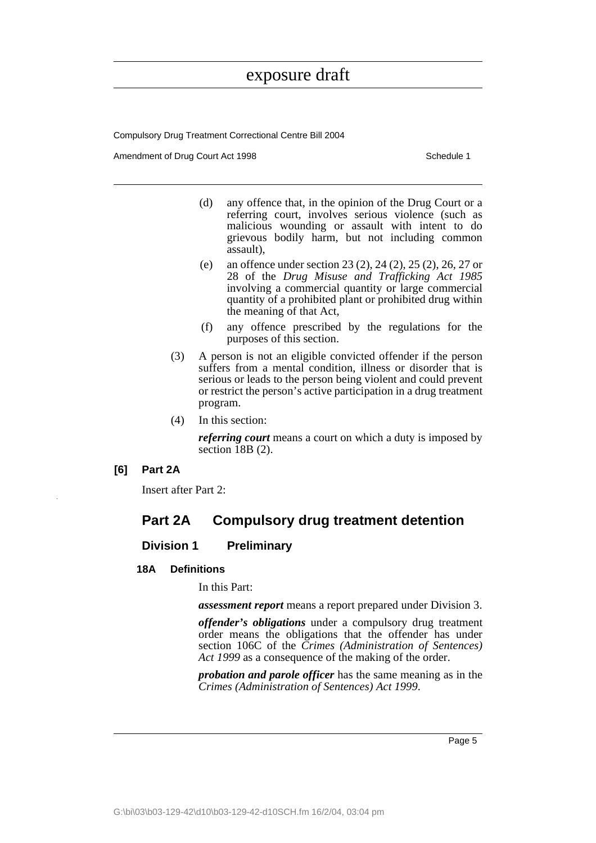Compulsory Drug Treatment Correctional Centre Bill 2004

Amendment of Drug Court Act 1998 Schedule 1

- (d) any offence that, in the opinion of the Drug Court or a referring court, involves serious violence (such as malicious wounding or assault with intent to do grievous bodily harm, but not including common assault),
- (e) an offence under section 23 (2), 24 (2), 25 (2), 26, 27 or 28 of the *Drug Misuse and Trafficking Act 1985* involving a commercial quantity or large commercial quantity of a prohibited plant or prohibited drug within the meaning of that Act,
- (f) any offence prescribed by the regulations for the purposes of this section.
- (3) A person is not an eligible convicted offender if the person suffers from a mental condition, illness or disorder that is serious or leads to the person being violent and could prevent or restrict the person's active participation in a drug treatment program.
- (4) In this section:

*referring court* means a court on which a duty is imposed by section 18B (2).

**[6] Part 2A**

Insert after Part 2:

### **Part 2A Compulsory drug treatment detention**

### **Division 1 Preliminary**

### **18A Definitions**

In this Part:

*assessment report* means a report prepared under Division 3.

*offender's obligations* under a compulsory drug treatment order means the obligations that the offender has under section 106C of the *Crimes (Administration of Sentences) Act 1999* as a consequence of the making of the order.

*probation and parole officer* has the same meaning as in the *Crimes (Administration of Sentences) Act 1999*.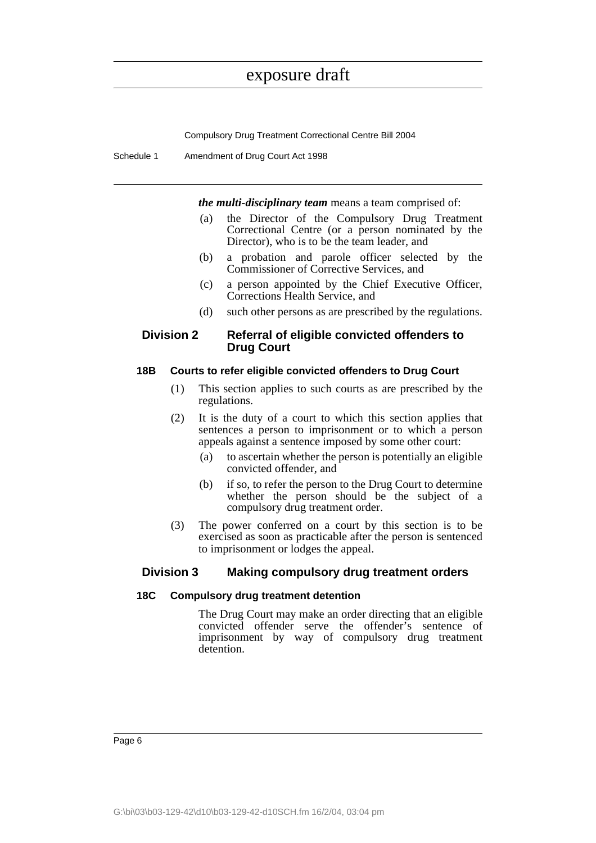Compulsory Drug Treatment Correctional Centre Bill 2004

Schedule 1 Amendment of Drug Court Act 1998

*the multi-disciplinary team* means a team comprised of:

- (a) the Director of the Compulsory Drug Treatment Correctional Centre (or a person nominated by the Director), who is to be the team leader, and
- (b) a probation and parole officer selected by the Commissioner of Corrective Services, and
- (c) a person appointed by the Chief Executive Officer, Corrections Health Service, and
- (d) such other persons as are prescribed by the regulations.

### **Division 2 Referral of eligible convicted offenders to Drug Court**

### **18B Courts to refer eligible convicted offenders to Drug Court**

- (1) This section applies to such courts as are prescribed by the regulations.
- (2) It is the duty of a court to which this section applies that sentences a person to imprisonment or to which a person appeals against a sentence imposed by some other court:
	- (a) to ascertain whether the person is potentially an eligible convicted offender, and
	- (b) if so, to refer the person to the Drug Court to determine whether the person should be the subject of a compulsory drug treatment order.
- (3) The power conferred on a court by this section is to be exercised as soon as practicable after the person is sentenced to imprisonment or lodges the appeal.

### **Division 3 Making compulsory drug treatment orders**

### **18C Compulsory drug treatment detention**

The Drug Court may make an order directing that an eligible convicted offender serve the offender's sentence of imprisonment by way of compulsory drug treatment detention.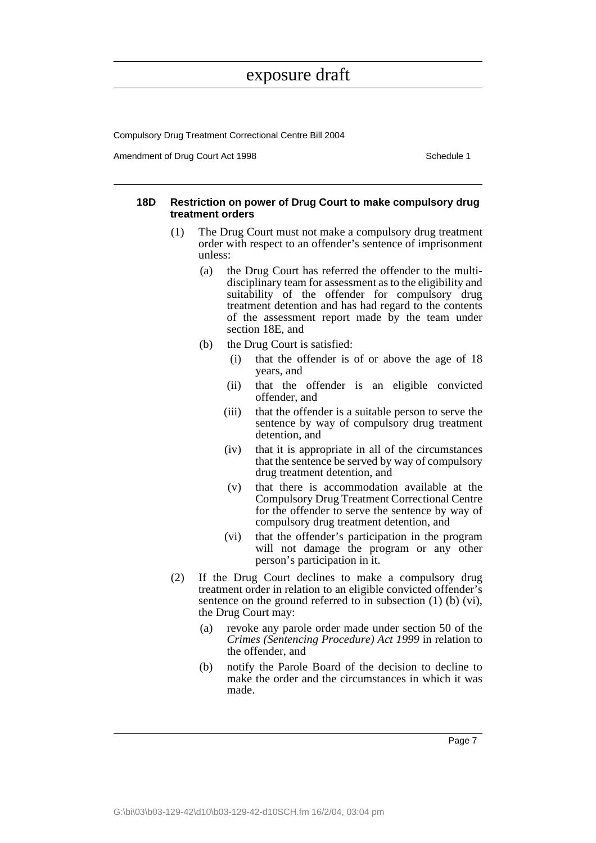Compulsory Drug Treatment Correctional Centre Bill 2004

Amendment of Drug Court Act 1998 Schedule 1

#### **18D Restriction on power of Drug Court to make compulsory drug treatment orders**

- (1) The Drug Court must not make a compulsory drug treatment order with respect to an offender's sentence of imprisonment unless:
	- (a) the Drug Court has referred the offender to the multidisciplinary team for assessment as to the eligibility and suitability of the offender for compulsory drug treatment detention and has had regard to the contents of the assessment report made by the team under section 18E, and
	- (b) the Drug Court is satisfied:
		- (i) that the offender is of or above the age of 18 years, and
		- (ii) that the offender is an eligible convicted offender, and
		- (iii) that the offender is a suitable person to serve the sentence by way of compulsory drug treatment detention, and
		- (iv) that it is appropriate in all of the circumstances that the sentence be served by way of compulsory drug treatment detention, and
		- (v) that there is accommodation available at the Compulsory Drug Treatment Correctional Centre for the offender to serve the sentence by way of compulsory drug treatment detention, and
		- (vi) that the offender's participation in the program will not damage the program or any other person's participation in it.
- (2) If the Drug Court declines to make a compulsory drug treatment order in relation to an eligible convicted offender's sentence on the ground referred to in subsection (1) (b) (vi), the Drug Court may:
	- (a) revoke any parole order made under section 50 of the *Crimes (Sentencing Procedure) Act 1999* in relation to the offender, and
	- (b) notify the Parole Board of the decision to decline to make the order and the circumstances in which it was made.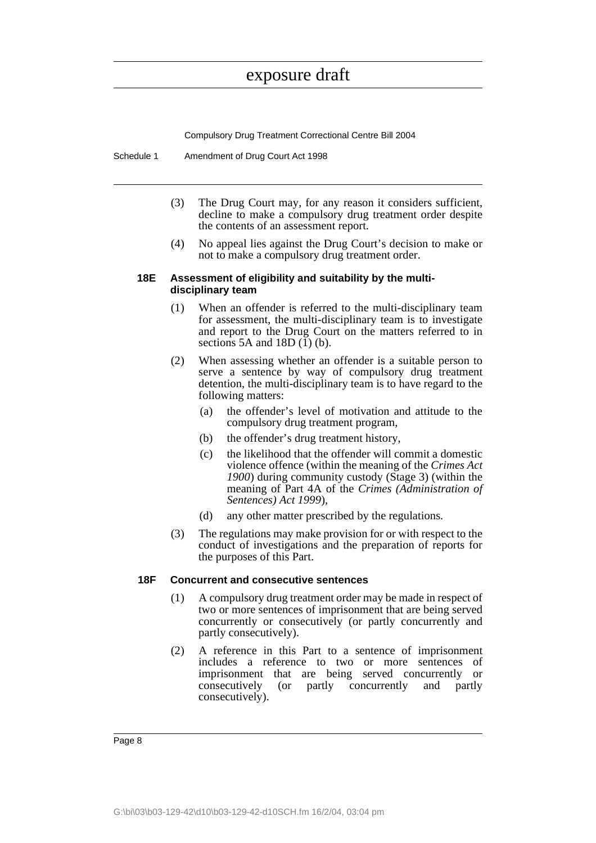Compulsory Drug Treatment Correctional Centre Bill 2004

Schedule 1 Amendment of Drug Court Act 1998

- (3) The Drug Court may, for any reason it considers sufficient, decline to make a compulsory drug treatment order despite the contents of an assessment report.
- (4) No appeal lies against the Drug Court's decision to make or not to make a compulsory drug treatment order.

#### **18E Assessment of eligibility and suitability by the multidisciplinary team**

- (1) When an offender is referred to the multi-disciplinary team for assessment, the multi-disciplinary team is to investigate and report to the Drug Court on the matters referred to in sections 5A and 18D $(1)$  $(b)$ .
- (2) When assessing whether an offender is a suitable person to serve a sentence by way of compulsory drug treatment detention, the multi-disciplinary team is to have regard to the following matters:
	- (a) the offender's level of motivation and attitude to the compulsory drug treatment program,
	- (b) the offender's drug treatment history,
	- (c) the likelihood that the offender will commit a domestic violence offence (within the meaning of the *Crimes Act 1900*) during community custody (Stage 3) (within the meaning of Part 4A of the *Crimes (Administration of Sentences) Act 1999*),
	- (d) any other matter prescribed by the regulations.
- (3) The regulations may make provision for or with respect to the conduct of investigations and the preparation of reports for the purposes of this Part.

#### **18F Concurrent and consecutive sentences**

- (1) A compulsory drug treatment order may be made in respect of two or more sentences of imprisonment that are being served concurrently or consecutively (or partly concurrently and partly consecutively).
- (2) A reference in this Part to a sentence of imprisonment includes a reference to two or more sentences of imprisonment that are being served concurrently or consecutively (or partly concurrently and partly consecutively).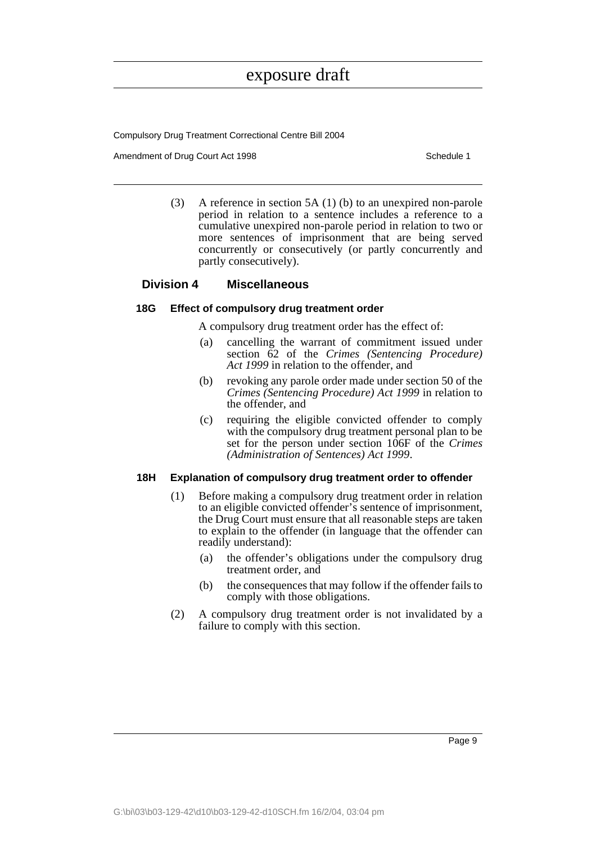Compulsory Drug Treatment Correctional Centre Bill 2004

Amendment of Drug Court Act 1998 Schedule 1

(3) A reference in section 5A (1) (b) to an unexpired non-parole period in relation to a sentence includes a reference to a cumulative unexpired non-parole period in relation to two or more sentences of imprisonment that are being served concurrently or consecutively (or partly concurrently and partly consecutively).

### **Division 4 Miscellaneous**

### **18G Effect of compulsory drug treatment order**

A compulsory drug treatment order has the effect of:

- (a) cancelling the warrant of commitment issued under section 62 of the *Crimes (Sentencing Procedure) Act 1999* in relation to the offender, and
- (b) revoking any parole order made under section 50 of the *Crimes (Sentencing Procedure) Act 1999* in relation to the offender, and
- (c) requiring the eligible convicted offender to comply with the compulsory drug treatment personal plan to be set for the person under section 106F of the *Crimes (Administration of Sentences) Act 1999*.

### **18H Explanation of compulsory drug treatment order to offender**

- (1) Before making a compulsory drug treatment order in relation to an eligible convicted offender's sentence of imprisonment, the Drug Court must ensure that all reasonable steps are taken to explain to the offender (in language that the offender can readily understand):
	- (a) the offender's obligations under the compulsory drug treatment order, and
	- (b) the consequences that may follow if the offender fails to comply with those obligations.
- (2) A compulsory drug treatment order is not invalidated by a failure to comply with this section.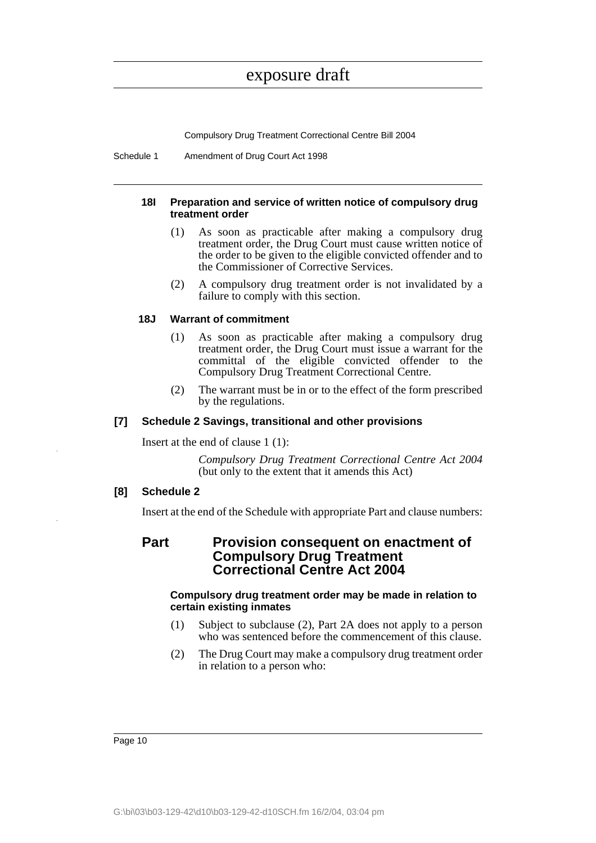Compulsory Drug Treatment Correctional Centre Bill 2004

Schedule 1 Amendment of Drug Court Act 1998

#### **18I Preparation and service of written notice of compulsory drug treatment order**

- (1) As soon as practicable after making a compulsory drug treatment order, the Drug Court must cause written notice of the order to be given to the eligible convicted offender and to the Commissioner of Corrective Services.
- (2) A compulsory drug treatment order is not invalidated by a failure to comply with this section.

### **18J Warrant of commitment**

- (1) As soon as practicable after making a compulsory drug treatment order, the Drug Court must issue a warrant for the committal of the eligible convicted offender to the Compulsory Drug Treatment Correctional Centre.
- (2) The warrant must be in or to the effect of the form prescribed by the regulations.

### **[7] Schedule 2 Savings, transitional and other provisions**

Insert at the end of clause 1 (1):

*Compulsory Drug Treatment Correctional Centre Act 2004* (but only to the extent that it amends this Act)

### **[8] Schedule 2**

Insert at the end of the Schedule with appropriate Part and clause numbers:

### **Part Provision consequent on enactment of Compulsory Drug Treatment Correctional Centre Act 2004**

#### **Compulsory drug treatment order may be made in relation to certain existing inmates**

- (1) Subject to subclause (2), Part 2A does not apply to a person who was sentenced before the commencement of this clause.
- (2) The Drug Court may make a compulsory drug treatment order in relation to a person who: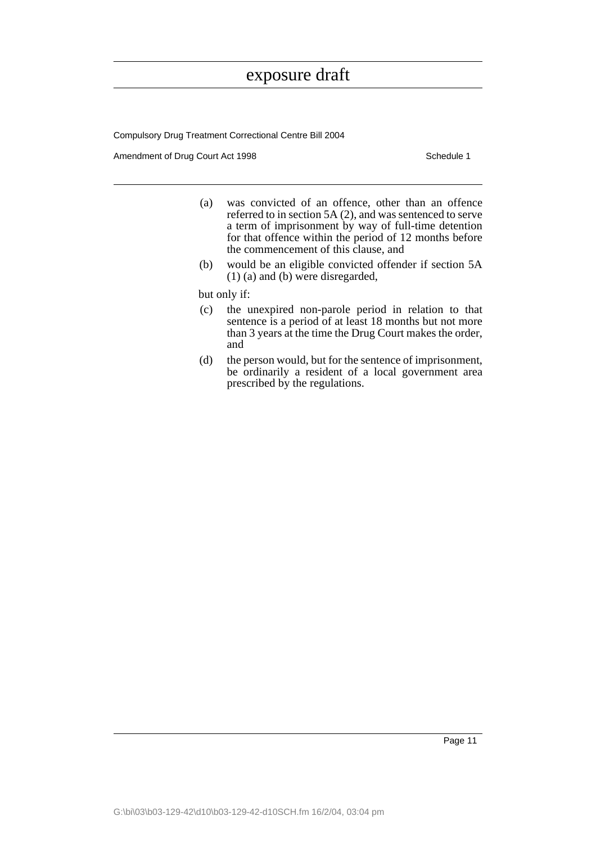Compulsory Drug Treatment Correctional Centre Bill 2004

Amendment of Drug Court Act 1998 Schedule 1

- (a) was convicted of an offence, other than an offence referred to in section 5A (2), and was sentenced to serve a term of imprisonment by way of full-time detention for that offence within the period of 12 months before the commencement of this clause, and
- (b) would be an eligible convicted offender if section 5A (1) (a) and (b) were disregarded,

but only if:

- (c) the unexpired non-parole period in relation to that sentence is a period of at least 18 months but not more than 3 years at the time the Drug Court makes the order, and
- (d) the person would, but for the sentence of imprisonment, be ordinarily a resident of a local government area prescribed by the regulations.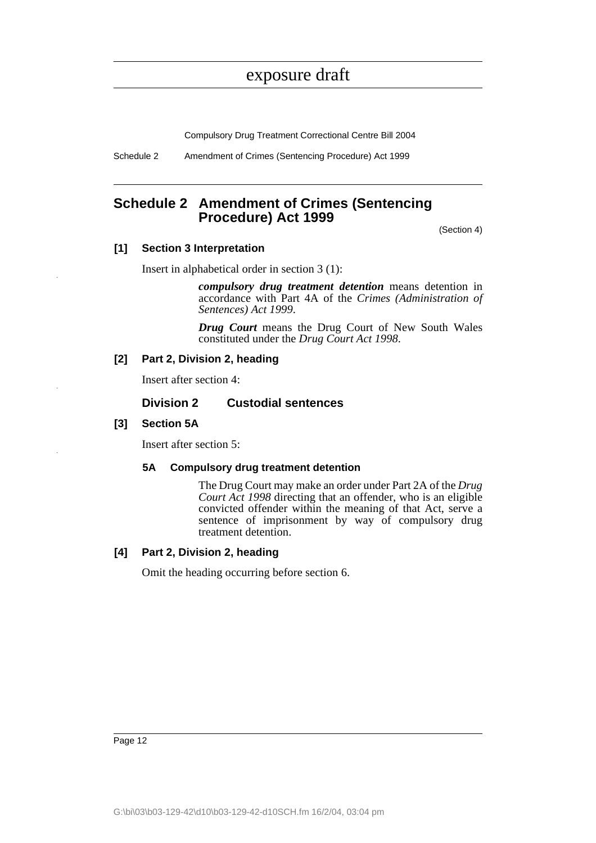Compulsory Drug Treatment Correctional Centre Bill 2004

Schedule 2 Amendment of Crimes (Sentencing Procedure) Act 1999

### <span id="page-23-0"></span>**Schedule 2 Amendment of Crimes (Sentencing Procedure) Act 1999**

(Section 4)

### **[1] Section 3 Interpretation**

Insert in alphabetical order in section 3 (1):

*compulsory drug treatment detention* means detention in accordance with Part 4A of the *Crimes (Administration of Sentences) Act 1999*.

*Drug Court* means the Drug Court of New South Wales constituted under the *Drug Court Act 1998*.

### **[2] Part 2, Division 2, heading**

Insert after section 4:

### **Division 2 Custodial sentences**

### **[3] Section 5A**

Insert after section 5:

### **5A Compulsory drug treatment detention**

The Drug Court may make an order under Part 2A of the *Drug Court Act 1998* directing that an offender, who is an eligible convicted offender within the meaning of that Act, serve a sentence of imprisonment by way of compulsory drug treatment detention.

### **[4] Part 2, Division 2, heading**

Omit the heading occurring before section 6.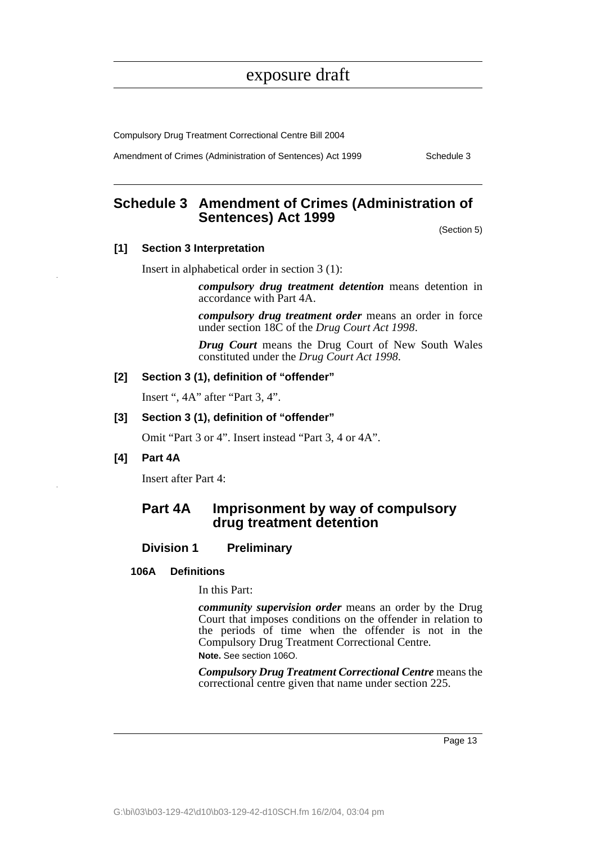Compulsory Drug Treatment Correctional Centre Bill 2004

Amendment of Crimes (Administration of Sentences) Act 1999 Schedule 3

### <span id="page-24-0"></span>**Schedule 3 Amendment of Crimes (Administration of Sentences) Act 1999**

(Section 5)

### **[1] Section 3 Interpretation**

Insert in alphabetical order in section 3 (1):

*compulsory drug treatment detention* means detention in accordance with Part 4A.

*compulsory drug treatment order* means an order in force under section 18C of the *Drug Court Act 1998*.

*Drug Court* means the Drug Court of New South Wales constituted under the *Drug Court Act 1998*.

#### **[2] Section 3 (1), definition of "offender"**

Insert ", 4A" after "Part 3, 4".

### **[3] Section 3 (1), definition of "offender"**

Omit "Part 3 or 4". Insert instead "Part 3, 4 or 4A".

### **[4] Part 4A**

Insert after Part 4:

### **Part 4A Imprisonment by way of compulsory drug treatment detention**

### **Division 1 Preliminary**

### **106A Definitions**

In this Part:

*community supervision order* means an order by the Drug Court that imposes conditions on the offender in relation to the periods of time when the offender is not in the Compulsory Drug Treatment Correctional Centre. **Note.** See section 106O.

*Compulsory Drug Treatment Correctional Centre* means the correctional centre given that name under section 225.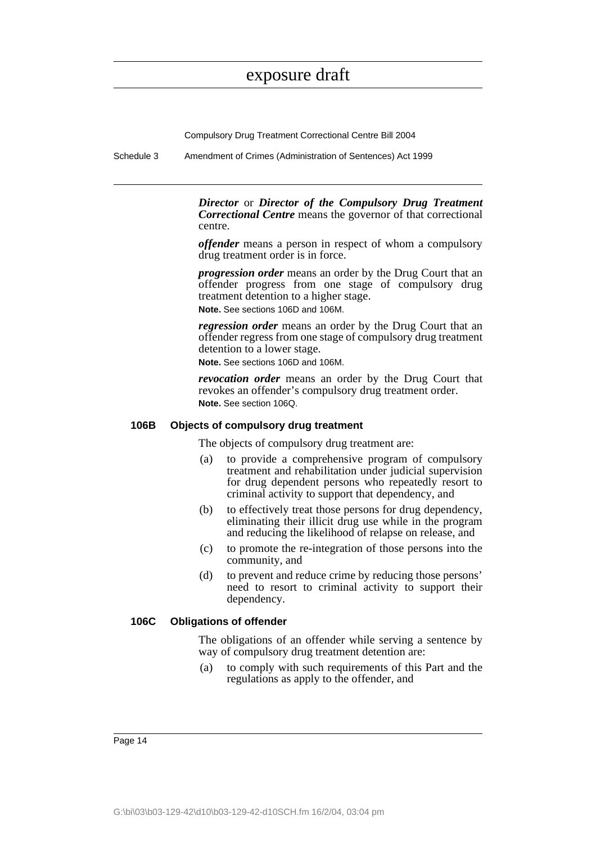Compulsory Drug Treatment Correctional Centre Bill 2004

Schedule 3 Amendment of Crimes (Administration of Sentences) Act 1999

*Director* or *Director of the Compulsory Drug Treatment Correctional Centre* means the governor of that correctional centre.

*offender* means a person in respect of whom a compulsory drug treatment order is in force.

*progression order* means an order by the Drug Court that an offender progress from one stage of compulsory drug treatment detention to a higher stage.

**Note.** See sections 106D and 106M.

*regression order* means an order by the Drug Court that an offender regress from one stage of compulsory drug treatment detention to a lower stage.

**Note.** See sections 106D and 106M.

*revocation order* means an order by the Drug Court that revokes an offender's compulsory drug treatment order. **Note.** See section 106Q.

#### **106B Objects of compulsory drug treatment**

The objects of compulsory drug treatment are:

- (a) to provide a comprehensive program of compulsory treatment and rehabilitation under judicial supervision for drug dependent persons who repeatedly resort to criminal activity to support that dependency, and
- (b) to effectively treat those persons for drug dependency, eliminating their illicit drug use while in the program and reducing the likelihood of relapse on release, and
- (c) to promote the re-integration of those persons into the community, and
- (d) to prevent and reduce crime by reducing those persons' need to resort to criminal activity to support their dependency.

### **106C Obligations of offender**

The obligations of an offender while serving a sentence by way of compulsory drug treatment detention are:

(a) to comply with such requirements of this Part and the regulations as apply to the offender, and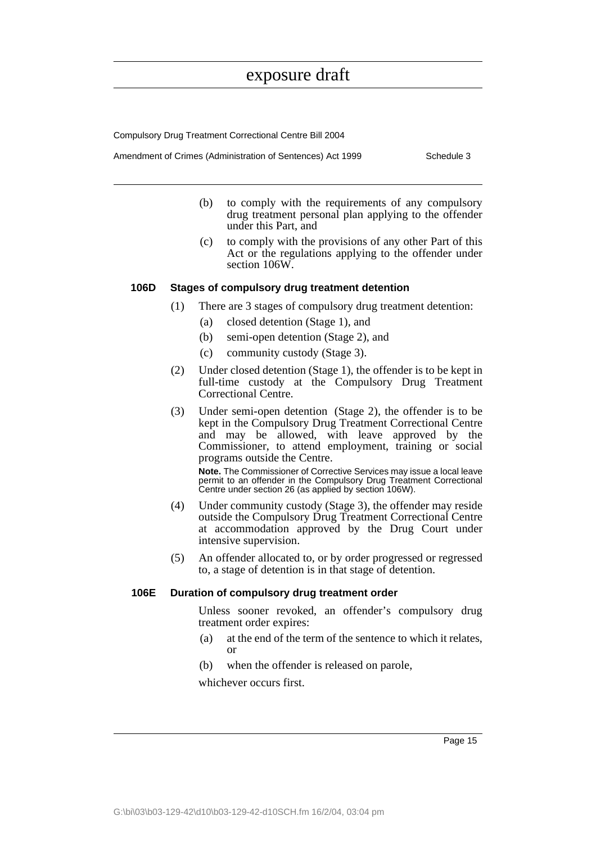Compulsory Drug Treatment Correctional Centre Bill 2004

Amendment of Crimes (Administration of Sentences) Act 1999 Schedule 3

- (b) to comply with the requirements of any compulsory drug treatment personal plan applying to the offender under this Part, and
- (c) to comply with the provisions of any other Part of this Act or the regulations applying to the offender under section 106W.

#### **106D Stages of compulsory drug treatment detention**

- (1) There are 3 stages of compulsory drug treatment detention:
	- (a) closed detention (Stage 1), and
	- (b) semi-open detention (Stage 2), and
	- (c) community custody (Stage 3).
- (2) Under closed detention (Stage 1), the offender is to be kept in full-time custody at the Compulsory Drug Treatment Correctional Centre.
- (3) Under semi-open detention (Stage 2), the offender is to be kept in the Compulsory Drug Treatment Correctional Centre and may be allowed, with leave approved by the Commissioner, to attend employment, training or social programs outside the Centre.

**Note.** The Commissioner of Corrective Services may issue a local leave permit to an offender in the Compulsory Drug Treatment Correctional Centre under section 26 (as applied by section 106W).

- (4) Under community custody (Stage 3), the offender may reside outside the Compulsory Drug Treatment Correctional Centre at accommodation approved by the Drug Court under intensive supervision.
- (5) An offender allocated to, or by order progressed or regressed to, a stage of detention is in that stage of detention.

#### **106E Duration of compulsory drug treatment order**

Unless sooner revoked, an offender's compulsory drug treatment order expires:

- (a) at the end of the term of the sentence to which it relates, or
- (b) when the offender is released on parole,

whichever occurs first.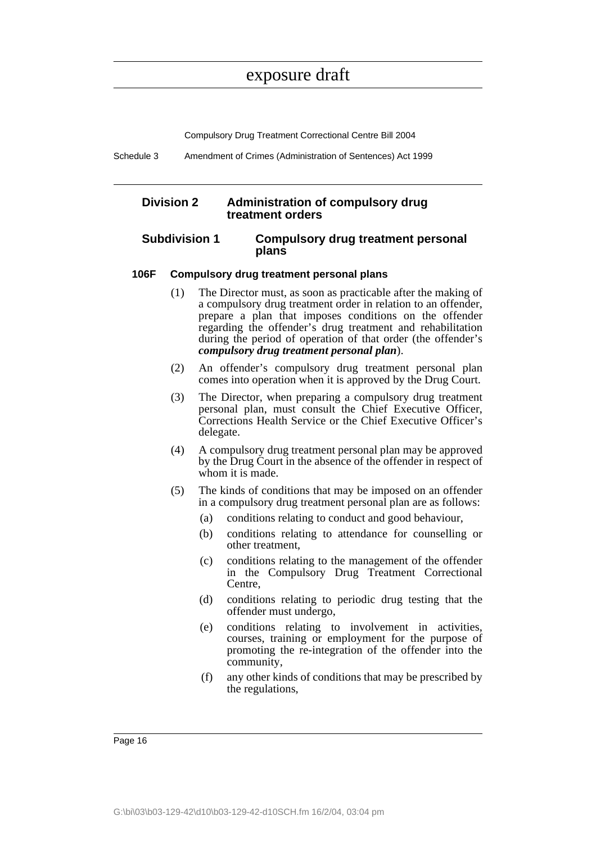Compulsory Drug Treatment Correctional Centre Bill 2004

Schedule 3 Amendment of Crimes (Administration of Sentences) Act 1999

### **Division 2 Administration of compulsory drug treatment orders**

### **Subdivision 1 Compulsory drug treatment personal plans**

#### **106F Compulsory drug treatment personal plans**

- (1) The Director must, as soon as practicable after the making of a compulsory drug treatment order in relation to an offender, prepare a plan that imposes conditions on the offender regarding the offender's drug treatment and rehabilitation during the period of operation of that order (the offender's *compulsory drug treatment personal plan*).
- (2) An offender's compulsory drug treatment personal plan comes into operation when it is approved by the Drug Court.
- (3) The Director, when preparing a compulsory drug treatment personal plan, must consult the Chief Executive Officer, Corrections Health Service or the Chief Executive Officer's delegate.
- (4) A compulsory drug treatment personal plan may be approved by the Drug Court in the absence of the offender in respect of whom it is made.
- (5) The kinds of conditions that may be imposed on an offender in a compulsory drug treatment personal plan are as follows:
	- (a) conditions relating to conduct and good behaviour,
	- (b) conditions relating to attendance for counselling or other treatment,
	- (c) conditions relating to the management of the offender in the Compulsory Drug Treatment Correctional Centre,
	- (d) conditions relating to periodic drug testing that the offender must undergo,
	- (e) conditions relating to involvement in activities, courses, training or employment for the purpose of promoting the re-integration of the offender into the community,
	- (f) any other kinds of conditions that may be prescribed by the regulations,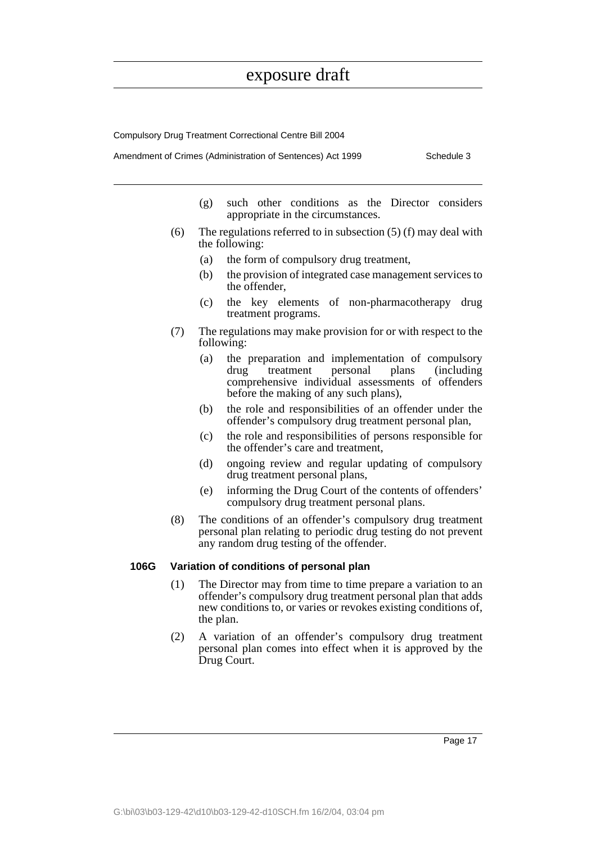Compulsory Drug Treatment Correctional Centre Bill 2004

Amendment of Crimes (Administration of Sentences) Act 1999 Schedule 3

- (g) such other conditions as the Director considers appropriate in the circumstances.
- (6) The regulations referred to in subsection  $(5)$  (f) may deal with the following:
	- (a) the form of compulsory drug treatment,
	- (b) the provision of integrated case management services to the offender,
	- (c) the key elements of non-pharmacotherapy drug treatment programs.
- (7) The regulations may make provision for or with respect to the following:
	- (a) the preparation and implementation of compulsory<br>drug treatment personal plans (including drug treatment personal plans (including comprehensive individual assessments of offenders before the making of any such plans),
	- (b) the role and responsibilities of an offender under the offender's compulsory drug treatment personal plan,
	- (c) the role and responsibilities of persons responsible for the offender's care and treatment,
	- (d) ongoing review and regular updating of compulsory drug treatment personal plans,
	- (e) informing the Drug Court of the contents of offenders' compulsory drug treatment personal plans.
- (8) The conditions of an offender's compulsory drug treatment personal plan relating to periodic drug testing do not prevent any random drug testing of the offender.

#### **106G Variation of conditions of personal plan**

- (1) The Director may from time to time prepare a variation to an offender's compulsory drug treatment personal plan that adds new conditions to, or varies or revokes existing conditions of, the plan.
- (2) A variation of an offender's compulsory drug treatment personal plan comes into effect when it is approved by the Drug Court.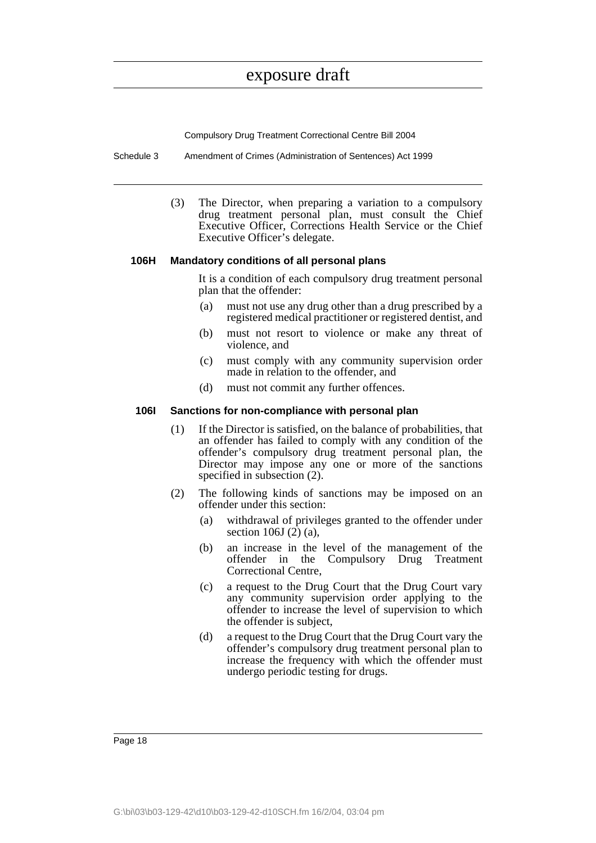Compulsory Drug Treatment Correctional Centre Bill 2004

Schedule 3 Amendment of Crimes (Administration of Sentences) Act 1999

(3) The Director, when preparing a variation to a compulsory drug treatment personal plan, must consult the Chief Executive Officer, Corrections Health Service or the Chief Executive Officer's delegate.

#### **106H Mandatory conditions of all personal plans**

It is a condition of each compulsory drug treatment personal plan that the offender:

- (a) must not use any drug other than a drug prescribed by a registered medical practitioner or registered dentist, and
- (b) must not resort to violence or make any threat of violence, and
- (c) must comply with any community supervision order made in relation to the offender, and
- (d) must not commit any further offences.

#### **106I Sanctions for non-compliance with personal plan**

- (1) If the Director is satisfied, on the balance of probabilities, that an offender has failed to comply with any condition of the offender's compulsory drug treatment personal plan, the Director may impose any one or more of the sanctions specified in subsection (2).
- (2) The following kinds of sanctions may be imposed on an offender under this section:
	- (a) withdrawal of privileges granted to the offender under section 106J (2) (a),
	- (b) an increase in the level of the management of the offender in the Compulsory Drug Treatment Correctional Centre,
	- (c) a request to the Drug Court that the Drug Court vary any community supervision order applying to the offender to increase the level of supervision to which the offender is subject,
	- (d) a request to the Drug Court that the Drug Court vary the offender's compulsory drug treatment personal plan to increase the frequency with which the offender must undergo periodic testing for drugs.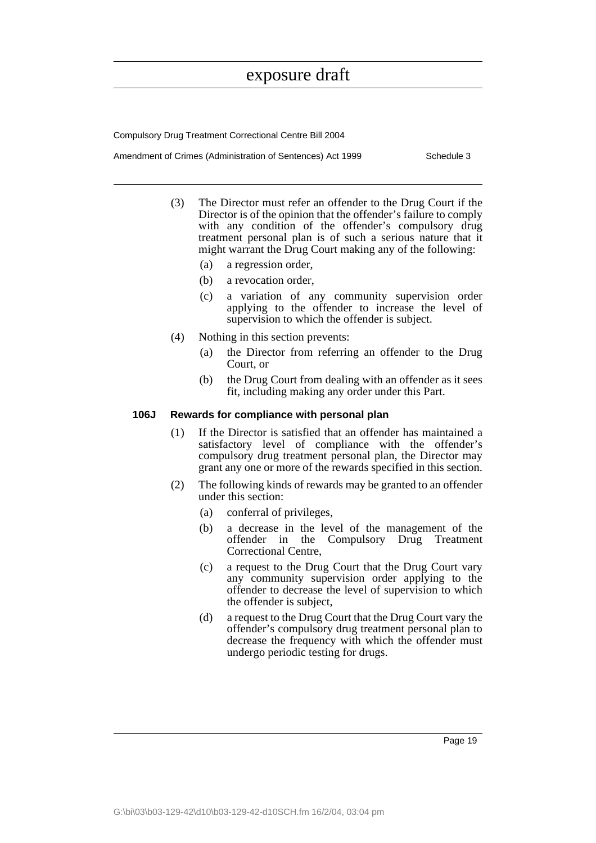Compulsory Drug Treatment Correctional Centre Bill 2004

Amendment of Crimes (Administration of Sentences) Act 1999 Schedule 3

- (3) The Director must refer an offender to the Drug Court if the Director is of the opinion that the offender's failure to comply with any condition of the offender's compulsory drug treatment personal plan is of such a serious nature that it might warrant the Drug Court making any of the following:
	- (a) a regression order,
	- (b) a revocation order,
	- (c) a variation of any community supervision order applying to the offender to increase the level of supervision to which the offender is subject.
- (4) Nothing in this section prevents:
	- (a) the Director from referring an offender to the Drug Court, or
	- (b) the Drug Court from dealing with an offender as it sees fit, including making any order under this Part.

#### **106J Rewards for compliance with personal plan**

- (1) If the Director is satisfied that an offender has maintained a satisfactory level of compliance with the offender's compulsory drug treatment personal plan, the Director may grant any one or more of the rewards specified in this section.
- (2) The following kinds of rewards may be granted to an offender under this section:
	- (a) conferral of privileges,
	- (b) a decrease in the level of the management of the offender in the Compulsory Drug Treatment Correctional Centre,
	- (c) a request to the Drug Court that the Drug Court vary any community supervision order applying to the offender to decrease the level of supervision to which the offender is subject,
	- (d) a request to the Drug Court that the Drug Court vary the offender's compulsory drug treatment personal plan to decrease the frequency with which the offender must undergo periodic testing for drugs.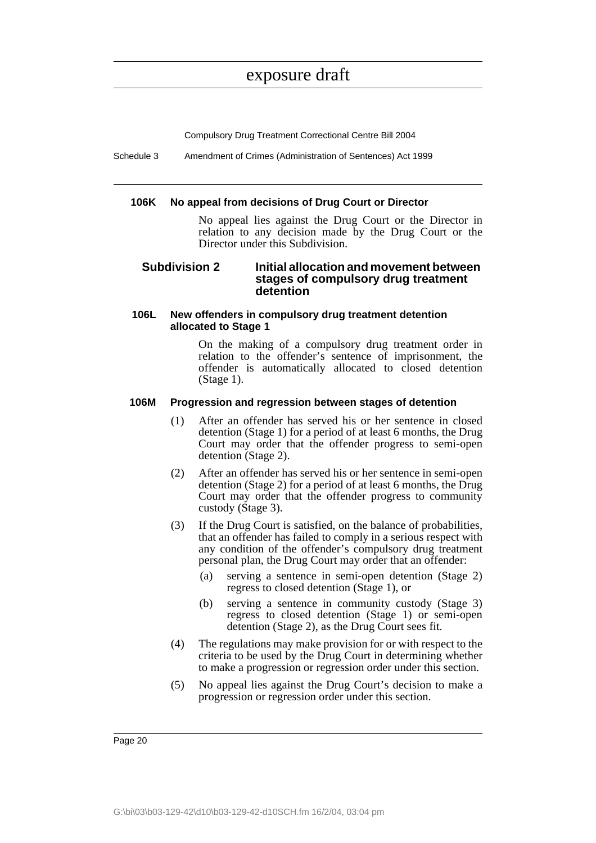Compulsory Drug Treatment Correctional Centre Bill 2004

Schedule 3 Amendment of Crimes (Administration of Sentences) Act 1999

#### **106K No appeal from decisions of Drug Court or Director**

No appeal lies against the Drug Court or the Director in relation to any decision made by the Drug Court or the Director under this Subdivision.

### **Subdivision 2 Initial allocation and movement between stages of compulsory drug treatment detention**

### **106L New offenders in compulsory drug treatment detention allocated to Stage 1**

On the making of a compulsory drug treatment order in relation to the offender's sentence of imprisonment, the offender is automatically allocated to closed detention (Stage 1).

### **106M Progression and regression between stages of detention**

- (1) After an offender has served his or her sentence in closed detention (Stage 1) for a period of at least 6 months, the Drug Court may order that the offender progress to semi-open detention (Stage 2).
- (2) After an offender has served his or her sentence in semi-open detention (Stage 2) for a period of at least 6 months, the Drug Court may order that the offender progress to community custody (Stage 3).
- (3) If the Drug Court is satisfied, on the balance of probabilities, that an offender has failed to comply in a serious respect with any condition of the offender's compulsory drug treatment personal plan, the Drug Court may order that an offender:
	- (a) serving a sentence in semi-open detention (Stage 2) regress to closed detention (Stage 1), or
	- (b) serving a sentence in community custody (Stage 3) regress to closed detention (Stage 1) or semi-open detention (Stage 2), as the Drug Court sees fit.
- (4) The regulations may make provision for or with respect to the criteria to be used by the Drug Court in determining whether to make a progression or regression order under this section.
- (5) No appeal lies against the Drug Court's decision to make a progression or regression order under this section.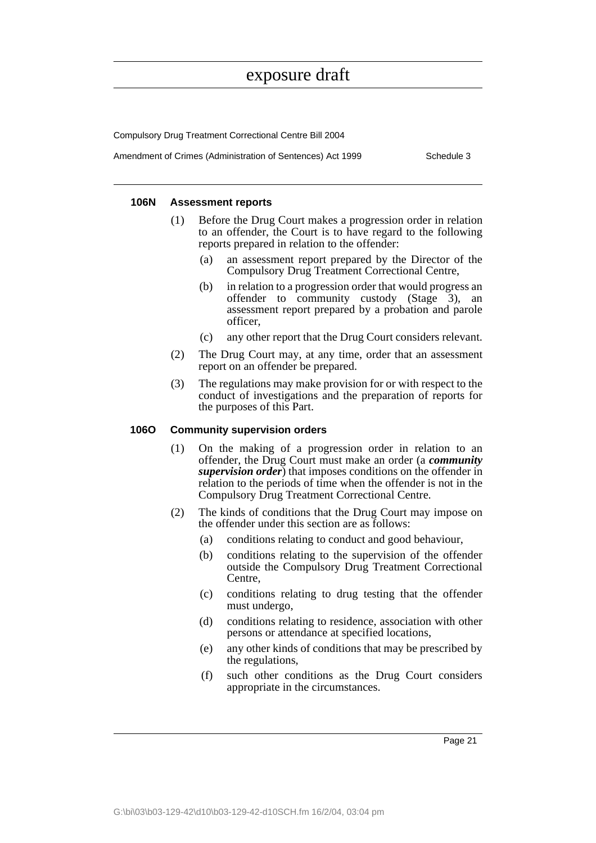Compulsory Drug Treatment Correctional Centre Bill 2004

Amendment of Crimes (Administration of Sentences) Act 1999 Schedule 3

### **106N Assessment reports**

- (1) Before the Drug Court makes a progression order in relation to an offender, the Court is to have regard to the following reports prepared in relation to the offender:
	- (a) an assessment report prepared by the Director of the Compulsory Drug Treatment Correctional Centre,
	- (b) in relation to a progression order that would progress an offender to community custody (Stage 3), an assessment report prepared by a probation and parole officer,
	- (c) any other report that the Drug Court considers relevant.
- (2) The Drug Court may, at any time, order that an assessment report on an offender be prepared.
- (3) The regulations may make provision for or with respect to the conduct of investigations and the preparation of reports for the purposes of this Part.

### **106O Community supervision orders**

- (1) On the making of a progression order in relation to an offender, the Drug Court must make an order (a *community supervision order*) that imposes conditions on the offender in relation to the periods of time when the offender is not in the Compulsory Drug Treatment Correctional Centre.
- (2) The kinds of conditions that the Drug Court may impose on the offender under this section are as follows:
	- (a) conditions relating to conduct and good behaviour,
	- (b) conditions relating to the supervision of the offender outside the Compulsory Drug Treatment Correctional Centre,
	- (c) conditions relating to drug testing that the offender must undergo,
	- (d) conditions relating to residence, association with other persons or attendance at specified locations,
	- (e) any other kinds of conditions that may be prescribed by the regulations,
	- (f) such other conditions as the Drug Court considers appropriate in the circumstances.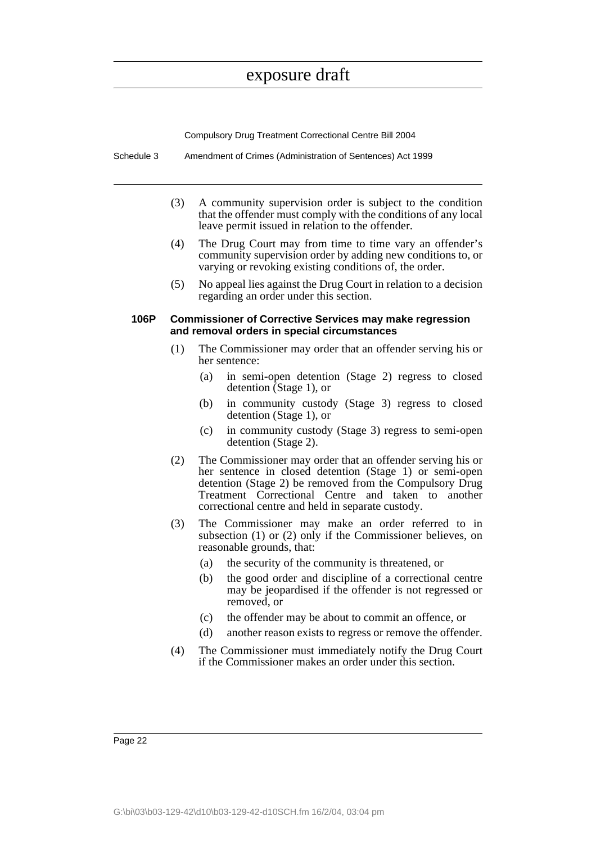Compulsory Drug Treatment Correctional Centre Bill 2004

- Schedule 3 Amendment of Crimes (Administration of Sentences) Act 1999
	- (3) A community supervision order is subject to the condition that the offender must comply with the conditions of any local leave permit issued in relation to the offender.
	- (4) The Drug Court may from time to time vary an offender's community supervision order by adding new conditions to, or varying or revoking existing conditions of, the order.
	- (5) No appeal lies against the Drug Court in relation to a decision regarding an order under this section.

#### **106P Commissioner of Corrective Services may make regression and removal orders in special circumstances**

- (1) The Commissioner may order that an offender serving his or her sentence:
	- (a) in semi-open detention (Stage 2) regress to closed detention (Stage 1), or
	- (b) in community custody (Stage 3) regress to closed detention (Stage 1), or
	- (c) in community custody (Stage 3) regress to semi-open detention (Stage 2).
- (2) The Commissioner may order that an offender serving his or her sentence in closed detention (Stage 1) or semi-open detention (Stage 2) be removed from the Compulsory Drug Treatment Correctional Centre and taken to another correctional centre and held in separate custody.
- (3) The Commissioner may make an order referred to in subsection (1) or (2) only if the Commissioner believes, on reasonable grounds, that:
	- (a) the security of the community is threatened, or
	- (b) the good order and discipline of a correctional centre may be jeopardised if the offender is not regressed or removed, or
	- (c) the offender may be about to commit an offence, or
	- (d) another reason exists to regress or remove the offender.
- (4) The Commissioner must immediately notify the Drug Court if the Commissioner makes an order under this section.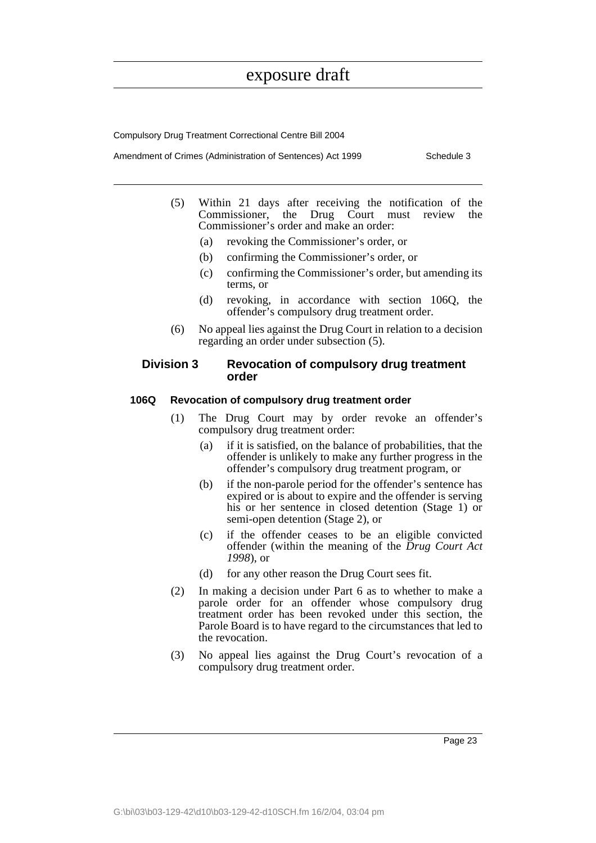Compulsory Drug Treatment Correctional Centre Bill 2004

Amendment of Crimes (Administration of Sentences) Act 1999 Schedule 3

- (5) Within 21 days after receiving the notification of the Commissioner, the Drug Court must review Commissioner's order and make an order:
	- (a) revoking the Commissioner's order, or
	- (b) confirming the Commissioner's order, or
	- (c) confirming the Commissioner's order, but amending its terms, or
	- (d) revoking, in accordance with section 106Q, the offender's compulsory drug treatment order.
- (6) No appeal lies against the Drug Court in relation to a decision regarding an order under subsection (5).

#### **Division 3 Revocation of compulsory drug treatment order**

#### **106Q Revocation of compulsory drug treatment order**

- (1) The Drug Court may by order revoke an offender's compulsory drug treatment order:
	- (a) if it is satisfied, on the balance of probabilities, that the offender is unlikely to make any further progress in the offender's compulsory drug treatment program, or
	- (b) if the non-parole period for the offender's sentence has expired or is about to expire and the offender is serving his or her sentence in closed detention (Stage 1) or semi-open detention (Stage 2), or
	- (c) if the offender ceases to be an eligible convicted offender (within the meaning of the *Drug Court Act 1998*), or
	- (d) for any other reason the Drug Court sees fit.
- (2) In making a decision under Part 6 as to whether to make a parole order for an offender whose compulsory drug treatment order has been revoked under this section, the Parole Board is to have regard to the circumstances that led to the revocation.
- (3) No appeal lies against the Drug Court's revocation of a compulsory drug treatment order.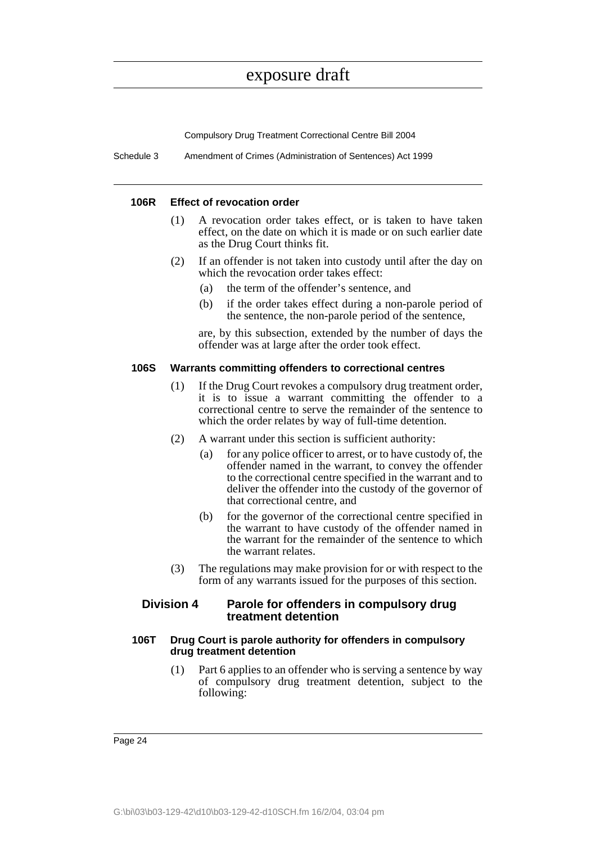Compulsory Drug Treatment Correctional Centre Bill 2004

Schedule 3 Amendment of Crimes (Administration of Sentences) Act 1999

#### **106R Effect of revocation order**

- (1) A revocation order takes effect, or is taken to have taken effect, on the date on which it is made or on such earlier date as the Drug Court thinks fit.
- (2) If an offender is not taken into custody until after the day on which the revocation order takes effect:
	- (a) the term of the offender's sentence, and
	- (b) if the order takes effect during a non-parole period of the sentence, the non-parole period of the sentence,

are, by this subsection, extended by the number of days the offender was at large after the order took effect.

#### **106S Warrants committing offenders to correctional centres**

- (1) If the Drug Court revokes a compulsory drug treatment order, it is to issue a warrant committing the offender to a correctional centre to serve the remainder of the sentence to which the order relates by way of full-time detention.
- (2) A warrant under this section is sufficient authority:
	- (a) for any police officer to arrest, or to have custody of, the offender named in the warrant, to convey the offender to the correctional centre specified in the warrant and to deliver the offender into the custody of the governor of that correctional centre, and
	- (b) for the governor of the correctional centre specified in the warrant to have custody of the offender named in the warrant for the remainder of the sentence to which the warrant relates.
- (3) The regulations may make provision for or with respect to the form of any warrants issued for the purposes of this section.

### **Division 4 Parole for offenders in compulsory drug treatment detention**

#### **106T Drug Court is parole authority for offenders in compulsory drug treatment detention**

(1) Part 6 applies to an offender who is serving a sentence by way of compulsory drug treatment detention, subject to the following: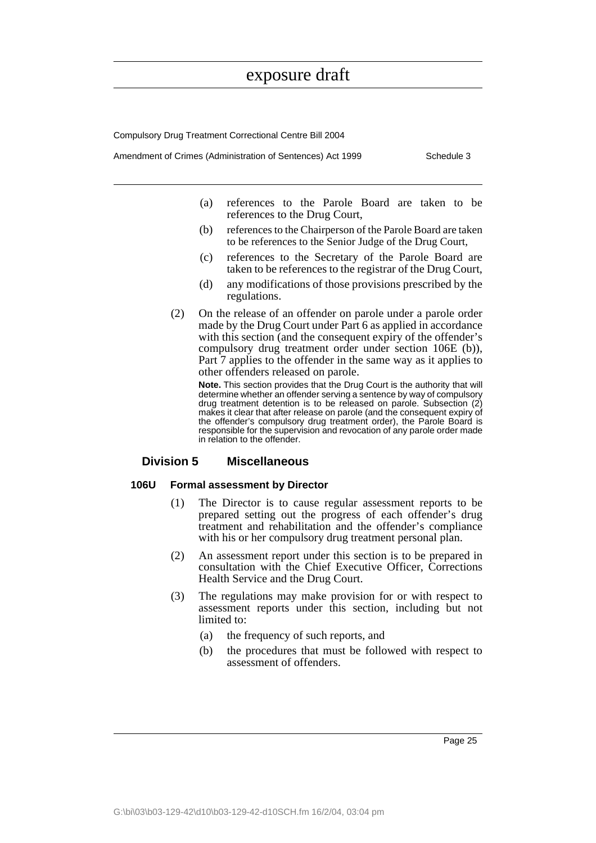Compulsory Drug Treatment Correctional Centre Bill 2004

Amendment of Crimes (Administration of Sentences) Act 1999 Schedule 3

- (a) references to the Parole Board are taken to be references to the Drug Court,
- (b) references to the Chairperson of the Parole Board are taken to be references to the Senior Judge of the Drug Court,
- (c) references to the Secretary of the Parole Board are taken to be references to the registrar of the Drug Court,
- (d) any modifications of those provisions prescribed by the regulations.
- (2) On the release of an offender on parole under a parole order made by the Drug Court under Part 6 as applied in accordance with this section (and the consequent expiry of the offender's compulsory drug treatment order under section 106E (b)), Part  $\overline{7}$  applies to the offender in the same way as it applies to other offenders released on parole.

**Note.** This section provides that the Drug Court is the authority that will determine whether an offender serving a sentence by way of compulsory drug treatment detention is to be released on parole. Subsection (2) makes it clear that after release on parole (and the consequent expiry of the offender's compulsory drug treatment order), the Parole Board is responsible for the supervision and revocation of any parole order made in relation to the offender.

### **Division 5 Miscellaneous**

### **106U Formal assessment by Director**

- (1) The Director is to cause regular assessment reports to be prepared setting out the progress of each offender's drug treatment and rehabilitation and the offender's compliance with his or her compulsory drug treatment personal plan.
- (2) An assessment report under this section is to be prepared in consultation with the Chief Executive Officer, Corrections Health Service and the Drug Court.
- (3) The regulations may make provision for or with respect to assessment reports under this section, including but not limited to:
	- (a) the frequency of such reports, and
	- (b) the procedures that must be followed with respect to assessment of offenders.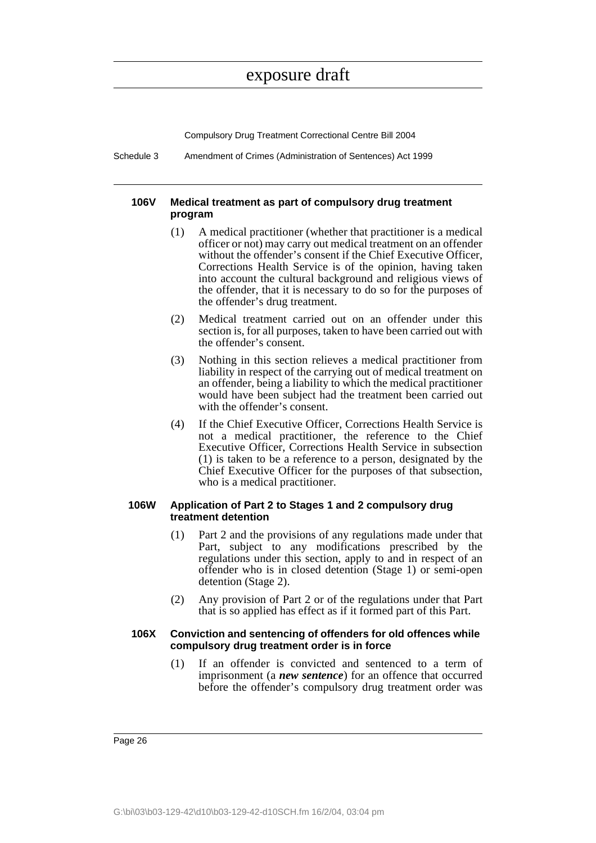Compulsory Drug Treatment Correctional Centre Bill 2004

Schedule 3 Amendment of Crimes (Administration of Sentences) Act 1999

### **106V Medical treatment as part of compulsory drug treatment program**

- (1) A medical practitioner (whether that practitioner is a medical officer or not) may carry out medical treatment on an offender without the offender's consent if the Chief Executive Officer, Corrections Health Service is of the opinion, having taken into account the cultural background and religious views of the offender, that it is necessary to do so for the purposes of the offender's drug treatment.
- (2) Medical treatment carried out on an offender under this section is, for all purposes, taken to have been carried out with the offender's consent.
- (3) Nothing in this section relieves a medical practitioner from liability in respect of the carrying out of medical treatment on an offender, being a liability to which the medical practitioner would have been subject had the treatment been carried out with the offender's consent.
- (4) If the Chief Executive Officer, Corrections Health Service is not a medical practitioner, the reference to the Chief Executive Officer, Corrections Health Service in subsection (1) is taken to be a reference to a person, designated by the Chief Executive Officer for the purposes of that subsection, who is a medical practitioner.

### **106W Application of Part 2 to Stages 1 and 2 compulsory drug treatment detention**

- (1) Part 2 and the provisions of any regulations made under that Part, subject to any modifications prescribed by the regulations under this section, apply to and in respect of an offender who is in closed detention (Stage 1) or semi-open detention (Stage 2).
- (2) Any provision of Part 2 or of the regulations under that Part that is so applied has effect as if it formed part of this Part.

#### **106X Conviction and sentencing of offenders for old offences while compulsory drug treatment order is in force**

(1) If an offender is convicted and sentenced to a term of imprisonment (a *new sentence*) for an offence that occurred before the offender's compulsory drug treatment order was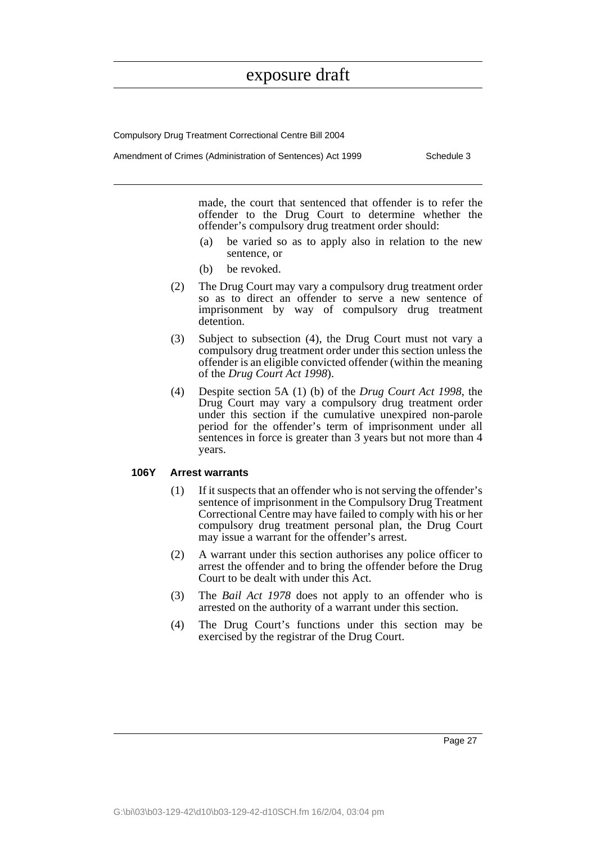Compulsory Drug Treatment Correctional Centre Bill 2004

Amendment of Crimes (Administration of Sentences) Act 1999 Schedule 3

made, the court that sentenced that offender is to refer the offender to the Drug Court to determine whether the offender's compulsory drug treatment order should:

- (a) be varied so as to apply also in relation to the new sentence, or
- (b) be revoked.
- (2) The Drug Court may vary a compulsory drug treatment order so as to direct an offender to serve a new sentence of imprisonment by way of compulsory drug treatment detention.
- (3) Subject to subsection (4), the Drug Court must not vary a compulsory drug treatment order under this section unless the offender is an eligible convicted offender (within the meaning of the *Drug Court Act 1998*).
- (4) Despite section 5A (1) (b) of the *Drug Court Act 1998*, the Drug Court may vary a compulsory drug treatment order under this section if the cumulative unexpired non-parole period for the offender's term of imprisonment under all sentences in force is greater than 3 years but not more than 4 years.

### **106Y Arrest warrants**

- (1) If it suspects that an offender who is not serving the offender's sentence of imprisonment in the Compulsory Drug Treatment Correctional Centre may have failed to comply with his or her compulsory drug treatment personal plan, the Drug Court may issue a warrant for the offender's arrest.
- (2) A warrant under this section authorises any police officer to arrest the offender and to bring the offender before the Drug Court to be dealt with under this Act.
- (3) The *Bail Act 1978* does not apply to an offender who is arrested on the authority of a warrant under this section.
- (4) The Drug Court's functions under this section may be exercised by the registrar of the Drug Court.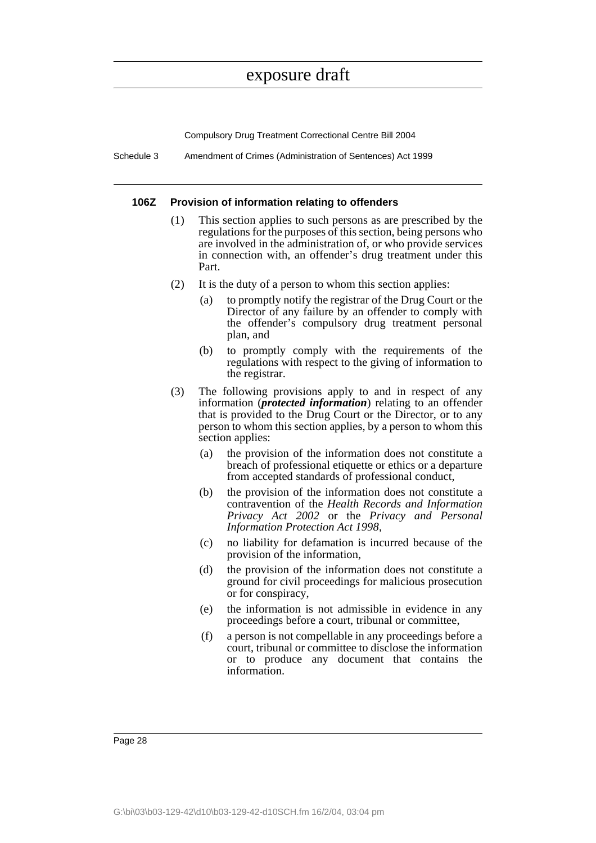Compulsory Drug Treatment Correctional Centre Bill 2004

Schedule 3 Amendment of Crimes (Administration of Sentences) Act 1999

#### **106Z Provision of information relating to offenders**

- (1) This section applies to such persons as are prescribed by the regulations for the purposes of this section, being persons who are involved in the administration of, or who provide services in connection with, an offender's drug treatment under this Part.
- (2) It is the duty of a person to whom this section applies:
	- (a) to promptly notify the registrar of the Drug Court or the Director of any failure by an offender to comply with the offender's compulsory drug treatment personal plan, and
	- (b) to promptly comply with the requirements of the regulations with respect to the giving of information to the registrar.
- (3) The following provisions apply to and in respect of any information (*protected information*) relating to an offender that is provided to the Drug Court or the Director, or to any person to whom this section applies, by a person to whom this section applies:
	- (a) the provision of the information does not constitute a breach of professional etiquette or ethics or a departure from accepted standards of professional conduct,
	- (b) the provision of the information does not constitute a contravention of the *Health Records and Information Privacy Act 2002* or the *Privacy and Personal Information Protection Act 1998*,
	- (c) no liability for defamation is incurred because of the provision of the information,
	- (d) the provision of the information does not constitute a ground for civil proceedings for malicious prosecution or for conspiracy,
	- (e) the information is not admissible in evidence in any proceedings before a court, tribunal or committee,
	- (f) a person is not compellable in any proceedings before a court, tribunal or committee to disclose the information or to produce any document that contains the information.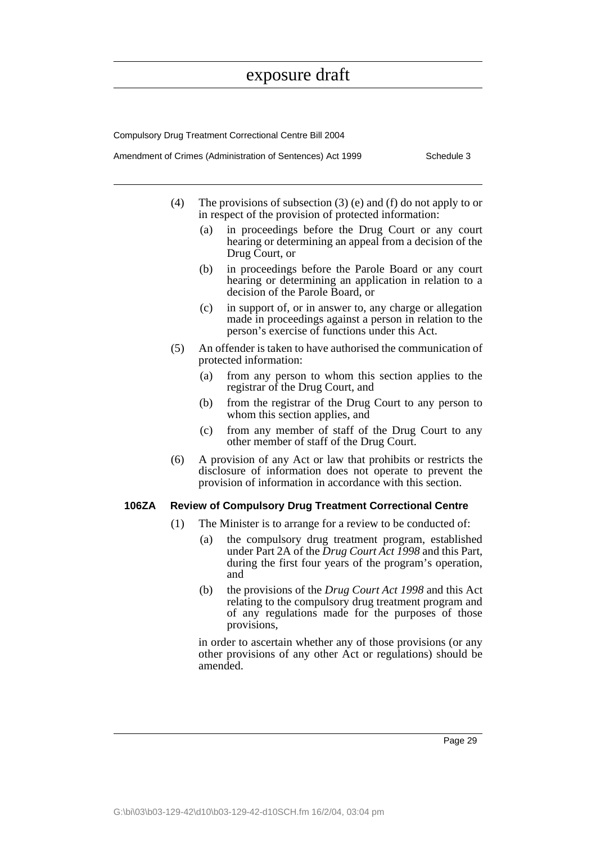Compulsory Drug Treatment Correctional Centre Bill 2004

|  | Amendment of Crimes (Administration of Sentences) Act 1999 |  | Schedule 3 |
|--|------------------------------------------------------------|--|------------|
|--|------------------------------------------------------------|--|------------|

- (4) The provisions of subsection (3) (e) and (f) do not apply to or in respect of the provision of protected information:
	- (a) in proceedings before the Drug Court or any court hearing or determining an appeal from a decision of the Drug Court, or
	- (b) in proceedings before the Parole Board or any court hearing or determining an application in relation to a decision of the Parole Board, or
	- (c) in support of, or in answer to, any charge or allegation made in proceedings against a person in relation to the person's exercise of functions under this Act.
- (5) An offender is taken to have authorised the communication of protected information:
	- (a) from any person to whom this section applies to the registrar of the Drug Court, and
	- (b) from the registrar of the Drug Court to any person to whom this section applies, and
	- (c) from any member of staff of the Drug Court to any other member of staff of the Drug Court.
- (6) A provision of any Act or law that prohibits or restricts the disclosure of information does not operate to prevent the provision of information in accordance with this section.

#### **106ZA Review of Compulsory Drug Treatment Correctional Centre**

- (1) The Minister is to arrange for a review to be conducted of:
	- (a) the compulsory drug treatment program, established under Part 2A of the *Drug Court Act 1998* and this Part, during the first four years of the program's operation, and
	- (b) the provisions of the *Drug Court Act 1998* and this Act relating to the compulsory drug treatment program and of any regulations made for the purposes of those provisions,

in order to ascertain whether any of those provisions (or any other provisions of any other Act or regulations) should be amended.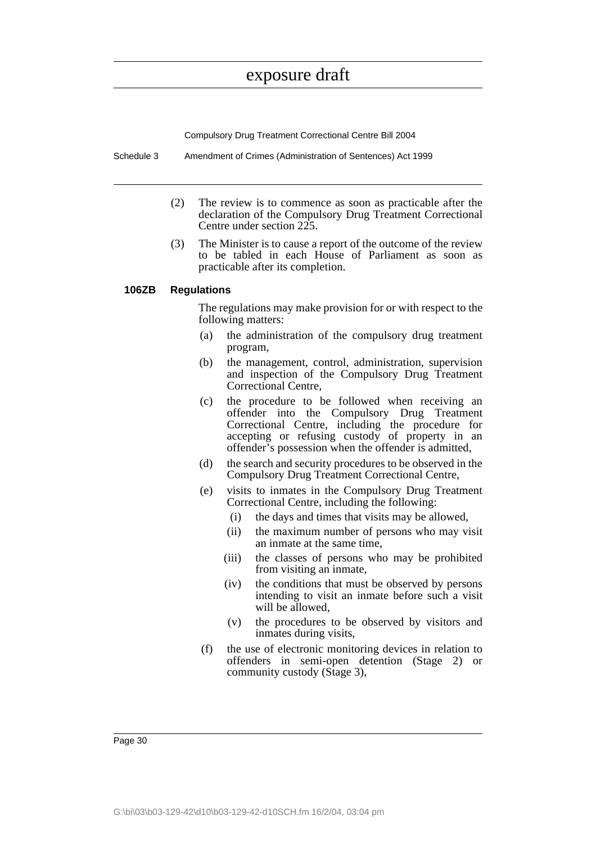Compulsory Drug Treatment Correctional Centre Bill 2004

Schedule 3 Amendment of Crimes (Administration of Sentences) Act 1999

- (2) The review is to commence as soon as practicable after the declaration of the Compulsory Drug Treatment Correctional Centre under section 225.
- (3) The Minister is to cause a report of the outcome of the review to be tabled in each House of Parliament as soon as practicable after its completion.

### **106ZB Regulations**

The regulations may make provision for or with respect to the following matters:

- (a) the administration of the compulsory drug treatment program,
- (b) the management, control, administration, supervision and inspection of the Compulsory Drug Treatment Correctional Centre,
- (c) the procedure to be followed when receiving an offender into the Compulsory Drug Treatment Correctional Centre, including the procedure for accepting or refusing custody of property in an offender's possession when the offender is admitted,
- (d) the search and security procedures to be observed in the Compulsory Drug Treatment Correctional Centre,
- (e) visits to inmates in the Compulsory Drug Treatment Correctional Centre, including the following:
	- (i) the days and times that visits may be allowed,
	- (ii) the maximum number of persons who may visit an inmate at the same time,
	- (iii) the classes of persons who may be prohibited from visiting an inmate,
	- (iv) the conditions that must be observed by persons intending to visit an inmate before such a visit will be allowed,
	- (v) the procedures to be observed by visitors and inmates during visits,
- (f) the use of electronic monitoring devices in relation to offenders in semi-open detention (Stage 2) or community custody (Stage 3),